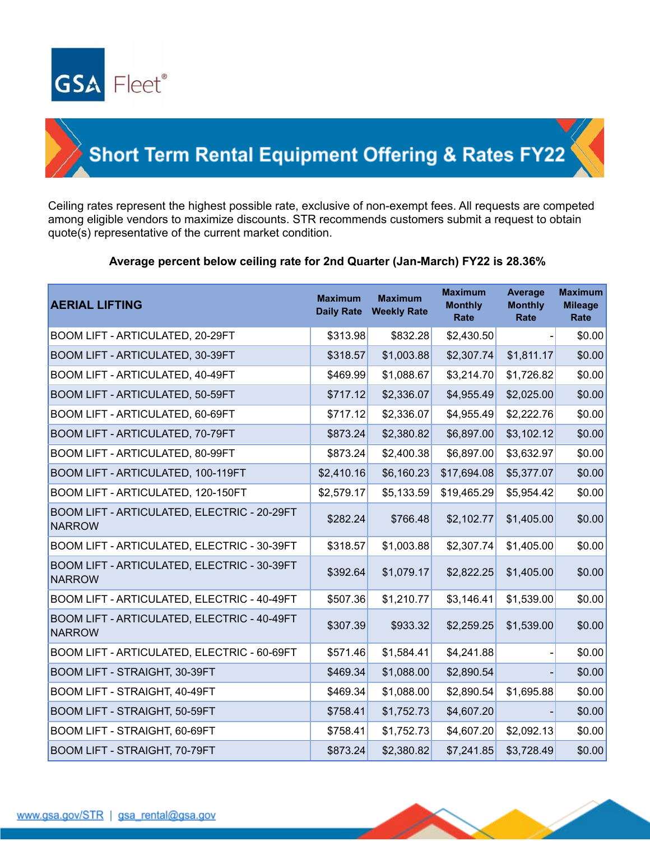

## **Short Term Rental Equipment Offering & Rates FY22**

Ceiling rates represent the highest possible rate, exclusive of non-exempt fees. All requests are competed among eligible vendors to maximize discounts. STR recommends customers submit a request to obtain quote(s) representative of the current market condition.

## **Average percent below ceiling rate for 2nd Quarter (Jan-March) FY22 is 28.36%**

| <b>AERIAL LIFTING</b>                                        | <b>Maximum</b><br><b>Daily Rate</b> | <b>Maximum</b><br><b>Weekly Rate</b> | <b>Maximum</b><br><b>Monthly</b><br>Rate | <b>Average</b><br><b>Monthly</b><br>Rate | <b>Maximum</b><br><b>Mileage</b><br>Rate |
|--------------------------------------------------------------|-------------------------------------|--------------------------------------|------------------------------------------|------------------------------------------|------------------------------------------|
| BOOM LIFT - ARTICULATED, 20-29FT                             | \$313.98                            | \$832.28                             | \$2,430.50                               |                                          | \$0.00                                   |
| BOOM LIFT - ARTICULATED, 30-39FT                             | \$318.57                            | \$1,003.88                           | \$2,307.74                               | \$1,811.17                               | \$0.00                                   |
| <b>BOOM LIFT - ARTICULATED, 40-49FT</b>                      | \$469.99                            | \$1,088.67                           | \$3,214.70                               | \$1,726.82                               | \$0.00                                   |
| BOOM LIFT - ARTICULATED, 50-59FT                             | \$717.12                            | \$2,336.07                           | \$4,955.49                               | \$2,025.00                               | \$0.00                                   |
| BOOM LIFT - ARTICULATED, 60-69FT                             | \$717.12                            | \$2,336.07                           | \$4,955.49                               | \$2,222.76                               | \$0.00                                   |
| BOOM LIFT - ARTICULATED, 70-79FT                             | \$873.24                            | \$2,380.82                           | \$6,897.00                               | \$3,102.12                               | \$0.00                                   |
| BOOM LIFT - ARTICULATED, 80-99FT                             | \$873.24                            | \$2,400.38                           | \$6,897.00                               | \$3,632.97                               | \$0.00                                   |
| BOOM LIFT - ARTICULATED, 100-119FT                           | \$2,410.16                          | \$6,160.23                           | \$17,694.08                              | \$5,377.07                               | \$0.00                                   |
| BOOM LIFT - ARTICULATED, 120-150FT                           | \$2,579.17                          | \$5,133.59                           | \$19,465.29                              | \$5,954.42                               | \$0.00                                   |
| BOOM LIFT - ARTICULATED, ELECTRIC - 20-29FT<br><b>NARROW</b> | \$282.24                            | \$766.48                             | \$2,102.77                               | \$1,405.00                               | \$0.00                                   |
| BOOM LIFT - ARTICULATED, ELECTRIC - 30-39FT                  | \$318.57                            | \$1,003.88                           | \$2,307.74                               | \$1,405.00                               | \$0.00                                   |
| BOOM LIFT - ARTICULATED, ELECTRIC - 30-39FT<br><b>NARROW</b> | \$392.64                            | \$1,079.17                           | \$2,822.25                               | \$1,405.00                               | \$0.00                                   |
| BOOM LIFT - ARTICULATED, ELECTRIC - 40-49FT                  | \$507.36                            | \$1,210.77                           | \$3,146.41                               | \$1,539.00                               | \$0.00                                   |
| BOOM LIFT - ARTICULATED, ELECTRIC - 40-49FT<br><b>NARROW</b> | \$307.39                            | \$933.32                             | \$2,259.25                               | \$1,539.00                               | \$0.00                                   |
| BOOM LIFT - ARTICULATED, ELECTRIC - 60-69FT                  | \$571.46                            | \$1,584.41                           | \$4,241.88                               |                                          | \$0.00                                   |
| BOOM LIFT - STRAIGHT, 30-39FT                                | \$469.34                            | \$1,088.00                           | \$2,890.54                               |                                          | \$0.00                                   |
| BOOM LIFT - STRAIGHT, 40-49FT                                | \$469.34                            | \$1,088.00                           | \$2,890.54                               | \$1,695.88                               | \$0.00                                   |
| BOOM LIFT - STRAIGHT, 50-59FT                                | \$758.41                            | \$1,752.73                           | \$4,607.20                               |                                          | \$0.00                                   |
| BOOM LIFT - STRAIGHT, 60-69FT                                | \$758.41                            | \$1,752.73                           | \$4,607.20                               | \$2,092.13                               | \$0.00                                   |
| BOOM LIFT - STRAIGHT, 70-79FT                                | \$873.24                            | \$2,380.82                           | \$7,241.85                               | \$3,728.49                               | \$0.00                                   |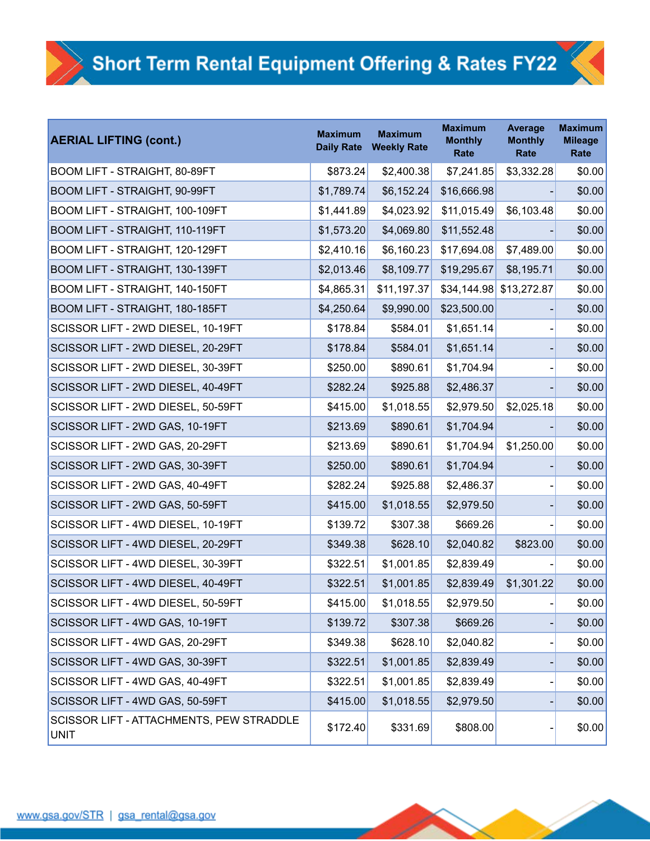| <b>AERIAL LIFTING (cont.)</b>                           | <b>Maximum</b><br><b>Daily Rate</b> | <b>Maximum</b><br><b>Weekly Rate</b> | <b>Maximum</b><br><b>Monthly</b><br>Rate | <b>Average</b><br><b>Monthly</b><br>Rate | <b>Maximum</b><br><b>Mileage</b><br>Rate |
|---------------------------------------------------------|-------------------------------------|--------------------------------------|------------------------------------------|------------------------------------------|------------------------------------------|
| BOOM LIFT - STRAIGHT, 80-89FT                           | \$873.24                            | \$2,400.38                           | \$7,241.85                               | \$3,332.28                               | \$0.00                                   |
| BOOM LIFT - STRAIGHT, 90-99FT                           | \$1,789.74                          | \$6,152.24                           | \$16,666.98                              |                                          | \$0.00                                   |
| BOOM LIFT - STRAIGHT, 100-109FT                         | \$1,441.89                          | \$4,023.92                           | \$11,015.49                              | \$6,103.48                               | \$0.00                                   |
| BOOM LIFT - STRAIGHT, 110-119FT                         | \$1,573.20                          | \$4,069.80                           | \$11,552.48                              |                                          | \$0.00                                   |
| BOOM LIFT - STRAIGHT, 120-129FT                         | \$2,410.16                          | \$6,160.23                           | \$17,694.08                              | \$7,489.00                               | \$0.00                                   |
| BOOM LIFT - STRAIGHT, 130-139FT                         | \$2,013.46                          | \$8,109.77                           | \$19,295.67                              | \$8,195.71                               | \$0.00                                   |
| BOOM LIFT - STRAIGHT, 140-150FT                         | \$4,865.31                          | \$11,197.37                          | \$34,144.98                              | \$13,272.87                              | \$0.00                                   |
| BOOM LIFT - STRAIGHT, 180-185FT                         | \$4,250.64                          | \$9,990.00                           | \$23,500.00                              |                                          | \$0.00                                   |
| SCISSOR LIFT - 2WD DIESEL, 10-19FT                      | \$178.84                            | \$584.01                             | \$1,651.14                               |                                          | \$0.00                                   |
| SCISSOR LIFT - 2WD DIESEL, 20-29FT                      | \$178.84                            | \$584.01                             | \$1,651.14                               |                                          | \$0.00                                   |
| SCISSOR LIFT - 2WD DIESEL, 30-39FT                      | \$250.00                            | \$890.61                             | \$1,704.94                               |                                          | \$0.00                                   |
| SCISSOR LIFT - 2WD DIESEL, 40-49FT                      | \$282.24                            | \$925.88                             | \$2,486.37                               |                                          | \$0.00                                   |
| SCISSOR LIFT - 2WD DIESEL, 50-59FT                      | \$415.00                            | \$1,018.55                           | \$2,979.50                               | \$2,025.18                               | \$0.00                                   |
| SCISSOR LIFT - 2WD GAS, 10-19FT                         | \$213.69                            | \$890.61                             | \$1,704.94                               |                                          | \$0.00                                   |
| SCISSOR LIFT - 2WD GAS, 20-29FT                         | \$213.69                            | \$890.61                             | \$1,704.94                               | \$1,250.00                               | \$0.00                                   |
| SCISSOR LIFT - 2WD GAS, 30-39FT                         | \$250.00                            | \$890.61                             | \$1,704.94                               |                                          | \$0.00                                   |
| SCISSOR LIFT - 2WD GAS, 40-49FT                         | \$282.24                            | \$925.88                             | \$2,486.37                               |                                          | \$0.00                                   |
| SCISSOR LIFT - 2WD GAS, 50-59FT                         | \$415.00                            | \$1,018.55                           | \$2,979.50                               |                                          | \$0.00                                   |
| SCISSOR LIFT - 4WD DIESEL, 10-19FT                      | \$139.72                            | \$307.38                             | \$669.26                                 |                                          | \$0.00                                   |
| SCISSOR LIFT - 4WD DIESEL, 20-29FT                      | \$349.38                            | \$628.10                             | \$2,040.82                               | \$823.00                                 | \$0.00                                   |
| SCISSOR LIFT - 4WD DIESEL, 30-39FT                      | \$322.51                            | \$1,001.85                           | \$2,839.49                               |                                          | \$0.00                                   |
| SCISSOR LIFT - 4WD DIESEL, 40-49FT                      | \$322.51                            | \$1,001.85                           | \$2,839.49                               | \$1,301.22                               | \$0.00                                   |
| SCISSOR LIFT - 4WD DIESEL, 50-59FT                      | \$415.00                            | \$1,018.55                           | \$2,979.50                               |                                          | \$0.00                                   |
| SCISSOR LIFT - 4WD GAS, 10-19FT                         | \$139.72                            | \$307.38                             | \$669.26                                 |                                          | \$0.00                                   |
| SCISSOR LIFT - 4WD GAS, 20-29FT                         | \$349.38                            | \$628.10                             | \$2,040.82                               |                                          | \$0.00                                   |
| SCISSOR LIFT - 4WD GAS, 30-39FT                         | \$322.51                            | \$1,001.85                           | \$2,839.49                               |                                          | \$0.00                                   |
| SCISSOR LIFT - 4WD GAS, 40-49FT                         | \$322.51                            | \$1,001.85                           | \$2,839.49                               |                                          | \$0.00                                   |
| SCISSOR LIFT - 4WD GAS, 50-59FT                         | \$415.00                            | \$1,018.55                           | \$2,979.50                               |                                          | \$0.00                                   |
| SCISSOR LIFT - ATTACHMENTS, PEW STRADDLE<br><b>UNIT</b> | \$172.40                            | \$331.69                             | \$808.00                                 |                                          | \$0.00                                   |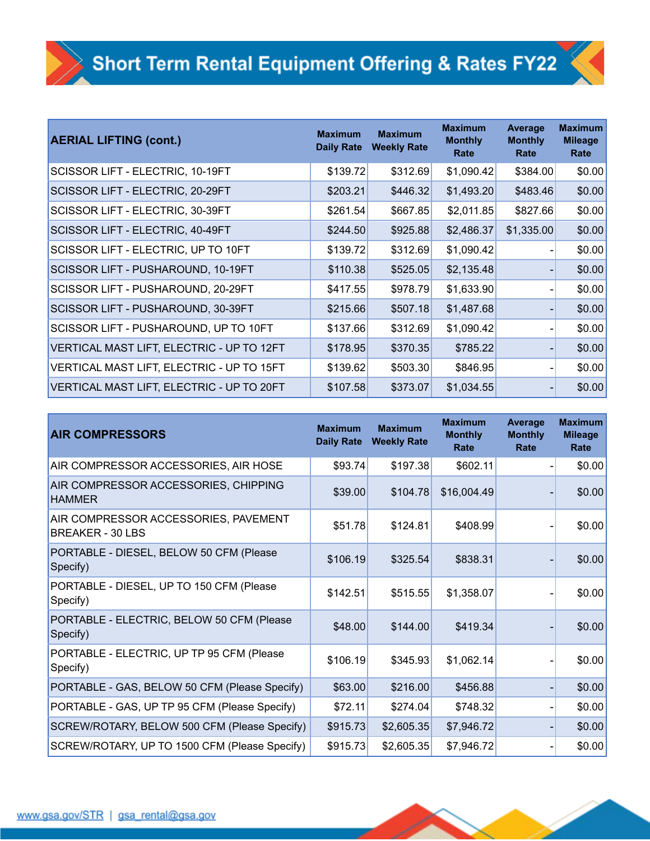| <b>AERIAL LIFTING (cont.)</b>             | <b>Maximum</b><br><b>Daily Rate</b> | <b>Maximum</b><br><b>Weekly Rate</b> | <b>Maximum</b><br><b>Monthly</b><br>Rate | Average<br><b>Monthly</b><br>Rate | <b>Maximum</b><br><b>Mileage</b><br>Rate |
|-------------------------------------------|-------------------------------------|--------------------------------------|------------------------------------------|-----------------------------------|------------------------------------------|
| SCISSOR LIFT - ELECTRIC, 10-19FT          | \$139.72                            | \$312.69                             | \$1,090.42                               | \$384.00                          | \$0.00                                   |
| SCISSOR LIFT - ELECTRIC, 20-29FT          | \$203.21                            | \$446.32                             | \$1,493.20                               | \$483.46                          | \$0.00                                   |
| SCISSOR LIFT - ELECTRIC, 30-39FT          | \$261.54                            | \$667.85                             | \$2,011.85                               | \$827.66                          | \$0.00                                   |
| SCISSOR LIFT - ELECTRIC, 40-49FT          | \$244.50                            | \$925.88                             | \$2,486.37                               | \$1,335.00                        | \$0.00                                   |
| SCISSOR LIFT - ELECTRIC, UP TO 10FT       | \$139.72                            | \$312.69                             | \$1,090.42                               |                                   | \$0.00                                   |
| SCISSOR LIFT - PUSHAROUND, 10-19FT        | \$110.38                            | \$525.05                             | \$2,135.48                               |                                   | \$0.00                                   |
| SCISSOR LIFT - PUSHAROUND, 20-29FT        | \$417.55                            | \$978.79                             | \$1,633.90                               |                                   | \$0.00                                   |
| SCISSOR LIFT - PUSHAROUND, 30-39FT        | \$215.66                            | \$507.18                             | \$1,487.68                               |                                   | \$0.00                                   |
| SCISSOR LIFT - PUSHAROUND, UP TO 10FT     | \$137.66                            | \$312.69                             | \$1,090.42                               |                                   | \$0.00                                   |
| VERTICAL MAST LIFT, ELECTRIC - UP TO 12FT | \$178.95                            | \$370.35                             | \$785.22                                 |                                   | \$0.00                                   |
| VERTICAL MAST LIFT, ELECTRIC - UP TO 15FT | \$139.62                            | \$503.30                             | \$846.95                                 |                                   | \$0.00                                   |
| VERTICAL MAST LIFT, ELECTRIC - UP TO 20FT | \$107.58                            | \$373.07                             | \$1,034.55                               |                                   | \$0.00                                   |

| <b>AIR COMPRESSORS</b>                                   | <b>Maximum</b><br><b>Daily Rate</b> | <b>Maximum</b><br><b>Weekly Rate</b> | <b>Maximum</b><br><b>Monthly</b><br>Rate | <b>Average</b><br><b>Monthly</b><br>Rate | <b>Maximum</b><br><b>Mileage</b><br>Rate |
|----------------------------------------------------------|-------------------------------------|--------------------------------------|------------------------------------------|------------------------------------------|------------------------------------------|
| AIR COMPRESSOR ACCESSORIES, AIR HOSE                     | \$93.74                             | \$197.38                             | \$602.11                                 |                                          | \$0.00                                   |
| AIR COMPRESSOR ACCESSORIES, CHIPPING<br><b>HAMMER</b>    | \$39.00                             | \$104.78                             | \$16,004.49                              |                                          | \$0.00                                   |
| AIR COMPRESSOR ACCESSORIES, PAVEMENT<br>BREAKER - 30 LBS | \$51.78                             | \$124.81                             | \$408.99                                 |                                          | \$0.00                                   |
| PORTABLE - DIESEL, BELOW 50 CFM (Please<br>Specify)      | \$106.19                            | \$325.54                             | \$838.31                                 |                                          | \$0.00                                   |
| PORTABLE - DIESEL, UP TO 150 CFM (Please<br>Specify)     | \$142.51                            | \$515.55                             | \$1,358.07                               |                                          | \$0.00                                   |
| PORTABLE - ELECTRIC, BELOW 50 CFM (Please<br>Specify)    | \$48.00                             | \$144.00                             | \$419.34                                 |                                          | \$0.00                                   |
| PORTABLE - ELECTRIC, UP TP 95 CFM (Please<br>Specify)    | \$106.19                            | \$345.93                             | \$1,062.14                               |                                          | \$0.00                                   |
| PORTABLE - GAS, BELOW 50 CFM (Please Specify)            | \$63.00                             | \$216.00                             | \$456.88                                 |                                          | \$0.00                                   |
| PORTABLE - GAS, UP TP 95 CFM (Please Specify)            | \$72.11                             | \$274.04                             | \$748.32                                 |                                          | \$0.00                                   |
| SCREW/ROTARY, BELOW 500 CFM (Please Specify)             | \$915.73                            | \$2,605.35                           | \$7,946.72                               |                                          | \$0.00                                   |
| SCREW/ROTARY, UP TO 1500 CFM (Please Specify)            | \$915.73                            | \$2,605.35                           | \$7,946.72                               |                                          | \$0.00                                   |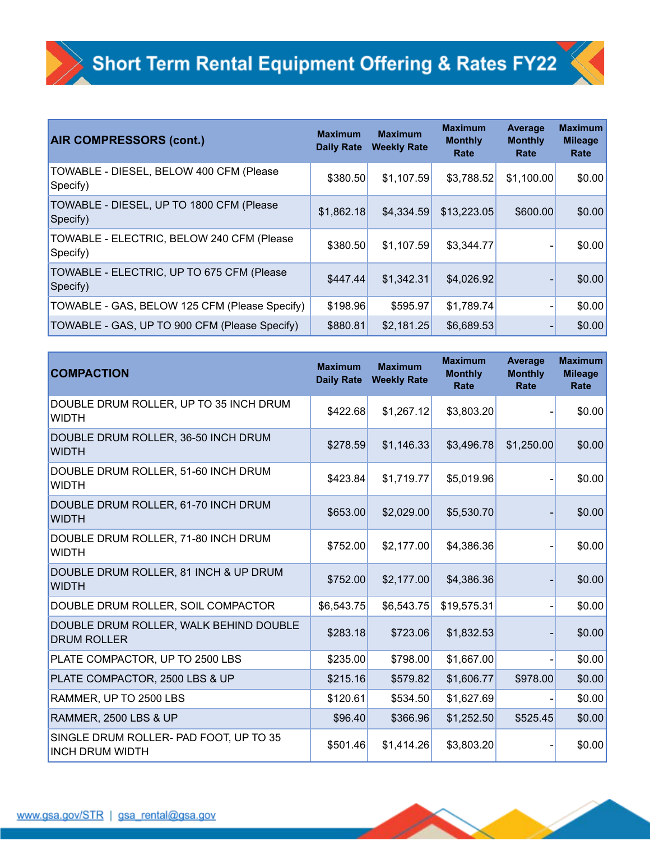| <b>AIR COMPRESSORS (cont.)</b>                        | <b>Maximum</b><br><b>Daily Rate</b> | <b>Maximum</b><br><b>Weekly Rate</b> | <b>Maximum</b><br><b>Monthly</b><br>Rate | Average<br><b>Monthly</b><br>Rate | <b>Maximum</b><br><b>Mileage</b><br>Rate |
|-------------------------------------------------------|-------------------------------------|--------------------------------------|------------------------------------------|-----------------------------------|------------------------------------------|
| TOWABLE - DIESEL, BELOW 400 CFM (Please<br>Specify)   | \$380.50                            | \$1,107.59                           | \$3,788.52                               | \$1,100.00                        | \$0.00                                   |
| TOWABLE - DIESEL, UP TO 1800 CFM (Please<br>Specify)  | \$1,862.18                          | \$4,334.59                           | \$13,223.05                              | \$600.00                          | \$0.00                                   |
| TOWABLE - ELECTRIC, BELOW 240 CFM (Please<br>Specify) | \$380.50                            | \$1,107.59                           | \$3,344.77                               |                                   | \$0.00                                   |
| TOWABLE - ELECTRIC, UP TO 675 CFM (Please<br>Specify) | \$447.44                            | \$1,342.31                           | \$4,026.92                               |                                   | \$0.00                                   |
| TOWABLE - GAS, BELOW 125 CFM (Please Specify)         | \$198.96                            | \$595.97                             | \$1,789.74                               |                                   | \$0.00                                   |
| TOWABLE - GAS, UP TO 900 CFM (Please Specify)         | \$880.81                            | \$2,181.25                           | \$6,689.53                               |                                   | \$0.00                                   |

| <b>COMPACTION</b>                                                | <b>Maximum</b><br><b>Daily Rate</b> | <b>Maximum</b><br><b>Weekly Rate</b> | <b>Maximum</b><br><b>Monthly</b><br>Rate | Average<br><b>Monthly</b><br>Rate | <b>Maximum</b><br><b>Mileage</b><br>Rate |
|------------------------------------------------------------------|-------------------------------------|--------------------------------------|------------------------------------------|-----------------------------------|------------------------------------------|
| DOUBLE DRUM ROLLER, UP TO 35 INCH DRUM<br><b>WIDTH</b>           | \$422.68                            | \$1,267.12                           | \$3,803.20                               |                                   | \$0.00                                   |
| DOUBLE DRUM ROLLER, 36-50 INCH DRUM<br><b>WIDTH</b>              | \$278.59                            | \$1,146.33                           | \$3,496.78                               | \$1,250.00                        | \$0.00                                   |
| DOUBLE DRUM ROLLER, 51-60 INCH DRUM<br><b>WIDTH</b>              | \$423.84                            | \$1,719.77                           | \$5,019.96                               |                                   | \$0.00                                   |
| DOUBLE DRUM ROLLER, 61-70 INCH DRUM<br><b>WIDTH</b>              | \$653.00                            | \$2,029.00                           | \$5,530.70                               |                                   | \$0.00                                   |
| DOUBLE DRUM ROLLER, 71-80 INCH DRUM<br><b>WIDTH</b>              | \$752.00                            | \$2,177.00                           | \$4,386.36                               |                                   | \$0.00                                   |
| DOUBLE DRUM ROLLER, 81 INCH & UP DRUM<br><b>WIDTH</b>            | \$752.00                            | \$2,177.00                           | \$4,386.36                               |                                   | \$0.00                                   |
| DOUBLE DRUM ROLLER, SOIL COMPACTOR                               | \$6,543.75                          | \$6,543.75                           | \$19,575.31                              |                                   | \$0.00                                   |
| DOUBLE DRUM ROLLER, WALK BEHIND DOUBLE<br><b>DRUM ROLLER</b>     | \$283.18                            | \$723.06                             | \$1,832.53                               |                                   | \$0.00                                   |
| PLATE COMPACTOR, UP TO 2500 LBS                                  | \$235.00                            | \$798.00                             | \$1,667.00                               |                                   | \$0.00                                   |
| PLATE COMPACTOR, 2500 LBS & UP                                   | \$215.16                            | \$579.82                             | \$1,606.77                               | \$978.00                          | \$0.00                                   |
| RAMMER, UP TO 2500 LBS                                           | \$120.61                            | \$534.50                             | \$1,627.69                               |                                   | \$0.00                                   |
| <b>RAMMER, 2500 LBS &amp; UP</b>                                 | \$96.40                             | \$366.96                             | \$1,252.50                               | \$525.45                          | \$0.00                                   |
| SINGLE DRUM ROLLER- PAD FOOT, UP TO 35<br><b>INCH DRUM WIDTH</b> | \$501.46                            | \$1,414.26                           | \$3,803.20                               |                                   | \$0.00                                   |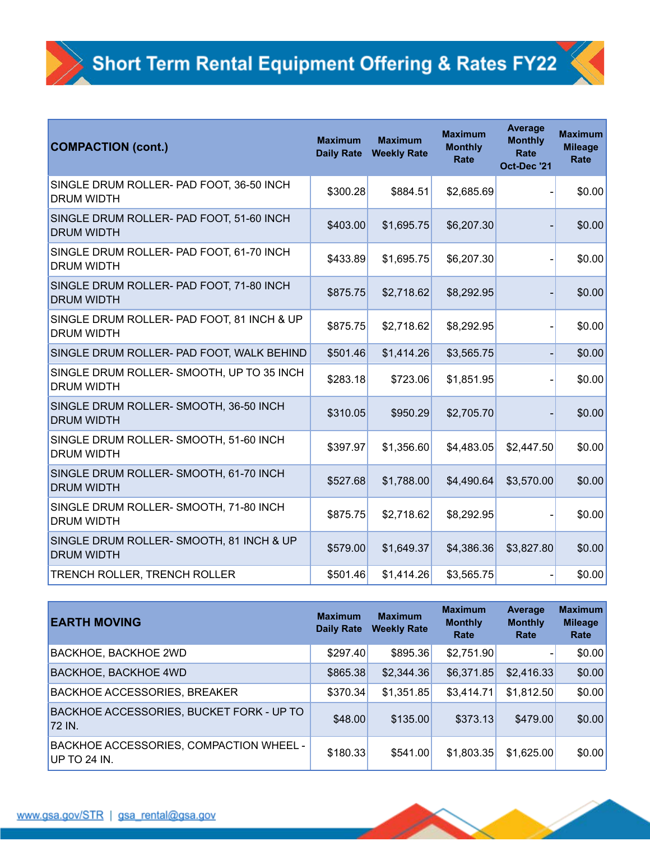| <b>COMPACTION (cont.)</b>                                       | <b>Maximum</b><br><b>Daily Rate</b> | <b>Maximum</b><br><b>Weekly Rate</b> | <b>Maximum</b><br><b>Monthly</b><br><b>Rate</b> | <b>Average</b><br><b>Monthly</b><br><b>Rate</b><br>Oct-Dec '21 | <b>Maximum</b><br><b>Mileage</b><br>Rate |
|-----------------------------------------------------------------|-------------------------------------|--------------------------------------|-------------------------------------------------|----------------------------------------------------------------|------------------------------------------|
| SINGLE DRUM ROLLER- PAD FOOT, 36-50 INCH<br><b>DRUM WIDTH</b>   | \$300.28                            | \$884.51                             | \$2,685.69                                      |                                                                | \$0.00                                   |
| SINGLE DRUM ROLLER- PAD FOOT, 51-60 INCH<br><b>DRUM WIDTH</b>   | \$403.00                            | \$1,695.75                           | \$6,207.30                                      |                                                                | \$0.00                                   |
| SINGLE DRUM ROLLER- PAD FOOT, 61-70 INCH<br><b>DRUM WIDTH</b>   | \$433.89                            | \$1,695.75                           | \$6,207.30                                      |                                                                | \$0.00                                   |
| SINGLE DRUM ROLLER- PAD FOOT, 71-80 INCH<br><b>DRUM WIDTH</b>   | \$875.75                            | \$2,718.62                           | \$8,292.95                                      |                                                                | \$0.00                                   |
| SINGLE DRUM ROLLER- PAD FOOT, 81 INCH & UP<br><b>DRUM WIDTH</b> | \$875.75                            | \$2,718.62                           | \$8,292.95                                      |                                                                | \$0.00                                   |
| SINGLE DRUM ROLLER- PAD FOOT, WALK BEHIND                       | \$501.46                            | \$1,414.26                           | \$3,565.75                                      |                                                                | \$0.00                                   |
| SINGLE DRUM ROLLER-SMOOTH, UP TO 35 INCH<br><b>DRUM WIDTH</b>   | \$283.18                            | \$723.06                             | \$1,851.95                                      |                                                                | \$0.00                                   |
| SINGLE DRUM ROLLER- SMOOTH, 36-50 INCH<br><b>DRUM WIDTH</b>     | \$310.05                            | \$950.29                             | \$2,705.70                                      |                                                                | \$0.00                                   |
| SINGLE DRUM ROLLER- SMOOTH, 51-60 INCH<br><b>DRUM WIDTH</b>     | \$397.97                            | \$1,356.60                           | \$4,483.05                                      | \$2,447.50                                                     | \$0.00                                   |
| SINGLE DRUM ROLLER- SMOOTH, 61-70 INCH<br><b>DRUM WIDTH</b>     | \$527.68                            | \$1,788.00                           | \$4,490.64                                      | \$3,570.00                                                     | \$0.00                                   |
| SINGLE DRUM ROLLER- SMOOTH, 71-80 INCH<br><b>DRUM WIDTH</b>     | \$875.75                            | \$2,718.62                           | \$8,292.95                                      |                                                                | \$0.00                                   |
| SINGLE DRUM ROLLER- SMOOTH, 81 INCH & UP<br><b>DRUM WIDTH</b>   | \$579.00                            | \$1,649.37                           | \$4,386.36                                      | \$3,827.80                                                     | \$0.00                                   |
| TRENCH ROLLER, TRENCH ROLLER                                    | \$501.46                            | \$1,414.26                           | \$3,565.75                                      |                                                                | \$0.00                                   |

| <b>EARTH MOVING</b>                                            | <b>Maximum</b><br><b>Daily Rate</b> | <b>Maximum</b><br><b>Weekly Rate</b> | <b>Maximum</b><br><b>Monthly</b><br>Rate | Average<br><b>Monthly</b><br>Rate | <b>Maximum</b><br><b>Mileage</b><br>Rate |
|----------------------------------------------------------------|-------------------------------------|--------------------------------------|------------------------------------------|-----------------------------------|------------------------------------------|
| BACKHOE, BACKHOE 2WD                                           | \$297.40                            | \$895.36                             | \$2,751.90                               |                                   | \$0.00                                   |
| <b>BACKHOE, BACKHOE 4WD</b>                                    | \$865.38                            | \$2,344.36                           | \$6,371.85                               | \$2,416.33                        | \$0.00                                   |
| <b>BACKHOE ACCESSORIES, BREAKER</b>                            | \$370.34                            | \$1,351.85                           | \$3,414.71                               | \$1,812.50                        | \$0.00                                   |
| BACKHOE ACCESSORIES, BUCKET FORK - UP TO<br>72 IN.             | \$48.00                             | \$135.00                             | \$373.13                                 | \$479.00                          | \$0.00                                   |
| <b>BACKHOE ACCESSORIES, COMPACTION WHEEL -</b><br>UP TO 24 IN. | \$180.33                            | \$541.00                             | \$1,803.35                               | \$1,625.00                        | \$0.00                                   |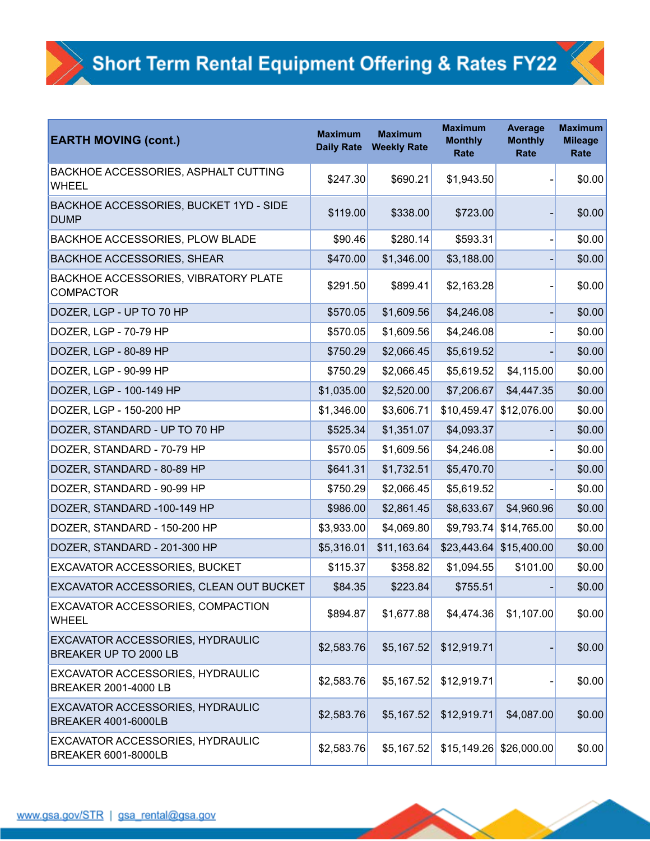| <b>EARTH MOVING (cont.)</b>                                    | <b>Maximum</b><br><b>Daily Rate</b> | <b>Maximum</b><br><b>Weekly Rate</b> | <b>Maximum</b><br><b>Monthly</b><br>Rate | <b>Average</b><br><b>Monthly</b><br>Rate | <b>Maximum</b><br><b>Mileage</b><br>Rate |
|----------------------------------------------------------------|-------------------------------------|--------------------------------------|------------------------------------------|------------------------------------------|------------------------------------------|
| BACKHOE ACCESSORIES, ASPHALT CUTTING<br><b>WHEEL</b>           | \$247.30                            | \$690.21                             | \$1,943.50                               |                                          | \$0.00                                   |
| BACKHOE ACCESSORIES, BUCKET 1YD - SIDE<br><b>DUMP</b>          | \$119.00                            | \$338.00                             | \$723.00                                 |                                          | \$0.00                                   |
| BACKHOE ACCESSORIES, PLOW BLADE                                | \$90.46                             | \$280.14                             | \$593.31                                 |                                          | \$0.00                                   |
| <b>BACKHOE ACCESSORIES, SHEAR</b>                              | \$470.00                            | \$1,346.00                           | \$3,188.00                               |                                          | \$0.00                                   |
| BACKHOE ACCESSORIES, VIBRATORY PLATE<br><b>COMPACTOR</b>       | \$291.50                            | \$899.41                             | \$2,163.28                               |                                          | \$0.00                                   |
| DOZER, LGP - UP TO 70 HP                                       | \$570.05                            | \$1,609.56                           | \$4,246.08                               |                                          | \$0.00                                   |
| DOZER, LGP - 70-79 HP                                          | \$570.05                            | \$1,609.56                           | \$4,246.08                               |                                          | \$0.00                                   |
| DOZER, LGP - 80-89 HP                                          | \$750.29                            | \$2,066.45                           | \$5,619.52                               |                                          | \$0.00                                   |
| DOZER, LGP - 90-99 HP                                          | \$750.29                            | \$2,066.45                           | \$5,619.52                               | \$4,115.00                               | \$0.00                                   |
| DOZER, LGP - 100-149 HP                                        | \$1,035.00                          | \$2,520.00                           | \$7,206.67                               | \$4,447.35                               | \$0.00                                   |
| DOZER, LGP - 150-200 HP                                        | \$1,346.00                          | \$3,606.71                           | \$10,459.47                              | \$12,076.00                              | \$0.00                                   |
| DOZER, STANDARD - UP TO 70 HP                                  | \$525.34                            | \$1,351.07                           | \$4,093.37                               |                                          | \$0.00                                   |
| DOZER, STANDARD - 70-79 HP                                     | \$570.05                            | \$1,609.56                           | \$4,246.08                               |                                          | \$0.00                                   |
| DOZER, STANDARD - 80-89 HP                                     | \$641.31                            | \$1,732.51                           | \$5,470.70                               |                                          | \$0.00                                   |
| DOZER, STANDARD - 90-99 HP                                     | \$750.29                            | \$2,066.45                           | \$5,619.52                               |                                          | \$0.00                                   |
| DOZER, STANDARD -100-149 HP                                    | \$986.00                            | \$2,861.45                           | \$8,633.67                               | \$4,960.96                               | \$0.00                                   |
| DOZER, STANDARD - 150-200 HP                                   | \$3,933.00                          | \$4,069.80                           |                                          | \$9,793.74 \$14,765.00                   | \$0.00                                   |
| DOZER, STANDARD - 201-300 HP                                   | \$5,316.01                          | \$11,163.64                          |                                          | $$23,443.64$ $$15,400.00$                | \$0.00                                   |
| EXCAVATOR ACCESSORIES, BUCKET                                  | \$115.37                            | \$358.82                             | \$1,094.55                               | \$101.00                                 | \$0.00                                   |
| EXCAVATOR ACCESSORIES, CLEAN OUT BUCKET                        | \$84.35                             | \$223.84                             | \$755.51                                 |                                          | \$0.00                                   |
| EXCAVATOR ACCESSORIES, COMPACTION<br><b>WHEEL</b>              | \$894.87                            | \$1,677.88                           | \$4,474.36                               | \$1,107.00                               | \$0.00                                   |
| EXCAVATOR ACCESSORIES, HYDRAULIC<br>BREAKER UP TO 2000 LB      | \$2,583.76                          | \$5,167.52                           | \$12,919.71                              |                                          | \$0.00                                   |
| EXCAVATOR ACCESSORIES, HYDRAULIC<br>BREAKER 2001-4000 LB       | \$2,583.76                          | \$5,167.52                           | \$12,919.71                              |                                          | \$0.00                                   |
| EXCAVATOR ACCESSORIES, HYDRAULIC<br><b>BREAKER 4001-6000LB</b> | \$2,583.76                          | \$5,167.52                           | \$12,919.71                              | \$4,087.00                               | \$0.00                                   |
| EXCAVATOR ACCESSORIES, HYDRAULIC<br><b>BREAKER 6001-8000LB</b> | \$2,583.76                          | \$5,167.52                           |                                          | $$15,149.26$ $$26,000.00$                | \$0.00                                   |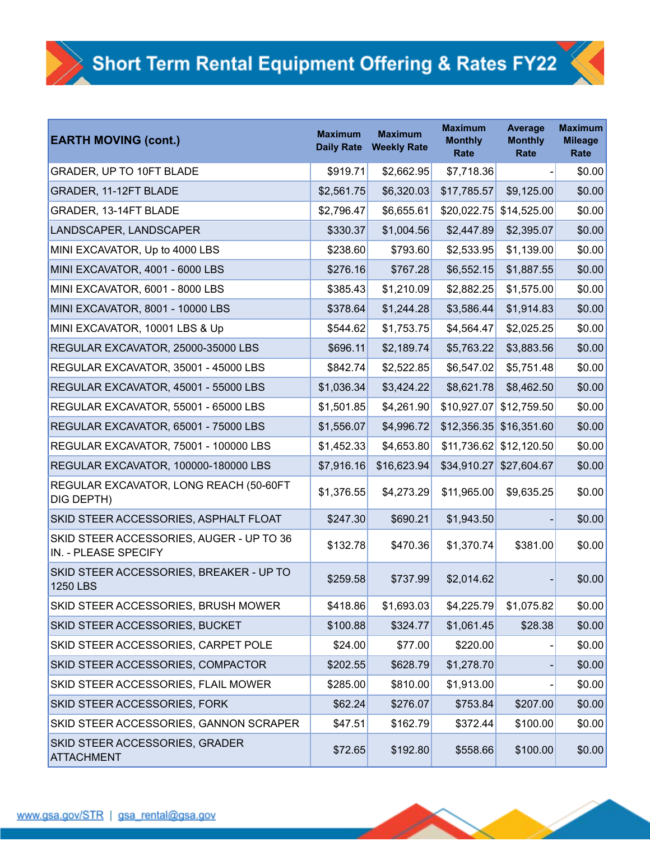| <b>EARTH MOVING (cont.)</b>                                      | <b>Maximum</b><br><b>Daily Rate</b> | <b>Maximum</b><br><b>Weekly Rate</b> | <b>Maximum</b><br><b>Monthly</b><br><b>Rate</b> | <b>Average</b><br><b>Monthly</b><br>Rate | <b>Maximum</b><br><b>Mileage</b><br>Rate |
|------------------------------------------------------------------|-------------------------------------|--------------------------------------|-------------------------------------------------|------------------------------------------|------------------------------------------|
| <b>GRADER, UP TO 10FT BLADE</b>                                  | \$919.71                            | \$2,662.95                           | \$7,718.36                                      |                                          | \$0.00                                   |
| GRADER, 11-12FT BLADE                                            | \$2,561.75                          | \$6,320.03                           | \$17,785.57                                     | \$9,125.00                               | \$0.00                                   |
| GRADER, 13-14FT BLADE                                            | \$2,796.47                          | \$6,655.61                           | \$20,022.75                                     | \$14,525.00                              | \$0.00                                   |
| LANDSCAPER, LANDSCAPER                                           | \$330.37                            | \$1,004.56                           | \$2,447.89                                      | \$2,395.07                               | \$0.00                                   |
| MINI EXCAVATOR, Up to 4000 LBS                                   | \$238.60                            | \$793.60                             | \$2,533.95                                      | \$1,139.00                               | \$0.00                                   |
| MINI EXCAVATOR, 4001 - 6000 LBS                                  | \$276.16                            | \$767.28                             | \$6,552.15                                      | \$1,887.55                               | \$0.00                                   |
| MINI EXCAVATOR, 6001 - 8000 LBS                                  | \$385.43                            | \$1,210.09                           | \$2,882.25                                      | \$1,575.00                               | \$0.00                                   |
| MINI EXCAVATOR, 8001 - 10000 LBS                                 | \$378.64                            | \$1,244.28                           | \$3,586.44                                      | \$1,914.83                               | \$0.00                                   |
| MINI EXCAVATOR, 10001 LBS & Up                                   | \$544.62                            | \$1,753.75                           | \$4,564.47                                      | \$2,025.25                               | \$0.00                                   |
| REGULAR EXCAVATOR, 25000-35000 LBS                               | \$696.11                            | \$2,189.74                           | \$5,763.22                                      | \$3,883.56                               | \$0.00                                   |
| REGULAR EXCAVATOR, 35001 - 45000 LBS                             | \$842.74                            | \$2,522.85                           | \$6,547.02                                      | \$5,751.48                               | \$0.00                                   |
| REGULAR EXCAVATOR, 45001 - 55000 LBS                             | \$1,036.34                          | \$3,424.22                           | \$8,621.78                                      | \$8,462.50                               | \$0.00                                   |
| REGULAR EXCAVATOR, 55001 - 65000 LBS                             | \$1,501.85                          | \$4,261.90                           | \$10,927.07                                     | \$12,759.50                              | \$0.00                                   |
| REGULAR EXCAVATOR, 65001 - 75000 LBS                             | \$1,556.07                          | \$4,996.72                           | \$12,356.35                                     | \$16,351.60                              | \$0.00                                   |
| REGULAR EXCAVATOR, 75001 - 100000 LBS                            | \$1,452.33                          | \$4,653.80                           | \$11,736.62                                     | \$12,120.50                              | \$0.00                                   |
| REGULAR EXCAVATOR, 100000-180000 LBS                             | \$7,916.16                          | \$16,623.94                          | \$34,910.27                                     | \$27,604.67                              | \$0.00                                   |
| REGULAR EXCAVATOR, LONG REACH (50-60FT<br>DIG DEPTH)             | \$1,376.55                          | \$4,273.29                           | \$11,965.00                                     | \$9,635.25                               | \$0.00                                   |
| SKID STEER ACCESSORIES, ASPHALT FLOAT                            | \$247.30                            | \$690.21                             | \$1,943.50                                      |                                          | \$0.00                                   |
| SKID STEER ACCESSORIES, AUGER - UP TO 36<br>IN. - PLEASE SPECIFY | \$132.78                            | \$470.36                             | \$1,370.74                                      | \$381.00                                 | \$0.00                                   |
| SKID STEER ACCESSORIES, BREAKER - UP TO<br>1250 LBS              | \$259.58                            | \$737.99                             | \$2,014.62                                      |                                          | \$0.00                                   |
| SKID STEER ACCESSORIES, BRUSH MOWER                              | \$418.86                            | \$1,693.03                           | \$4,225.79                                      | \$1,075.82                               | \$0.00                                   |
| <b>SKID STEER ACCESSORIES, BUCKET</b>                            | \$100.88                            | \$324.77                             | \$1,061.45                                      | \$28.38                                  | \$0.00                                   |
| SKID STEER ACCESSORIES, CARPET POLE                              | \$24.00                             | \$77.00                              | \$220.00                                        |                                          | \$0.00                                   |
| SKID STEER ACCESSORIES, COMPACTOR                                | \$202.55                            | \$628.79                             | \$1,278.70                                      |                                          | \$0.00                                   |
| SKID STEER ACCESSORIES, FLAIL MOWER                              | \$285.00                            | \$810.00                             | \$1,913.00                                      |                                          | \$0.00                                   |
| SKID STEER ACCESSORIES, FORK                                     | \$62.24                             | \$276.07                             | \$753.84                                        | \$207.00                                 | \$0.00                                   |
| SKID STEER ACCESSORIES, GANNON SCRAPER                           | \$47.51                             | \$162.79                             | \$372.44                                        | \$100.00                                 | \$0.00                                   |
| SKID STEER ACCESSORIES, GRADER<br>ATTACHMENT                     | \$72.65                             | \$192.80                             | \$558.66                                        | \$100.00                                 | \$0.00                                   |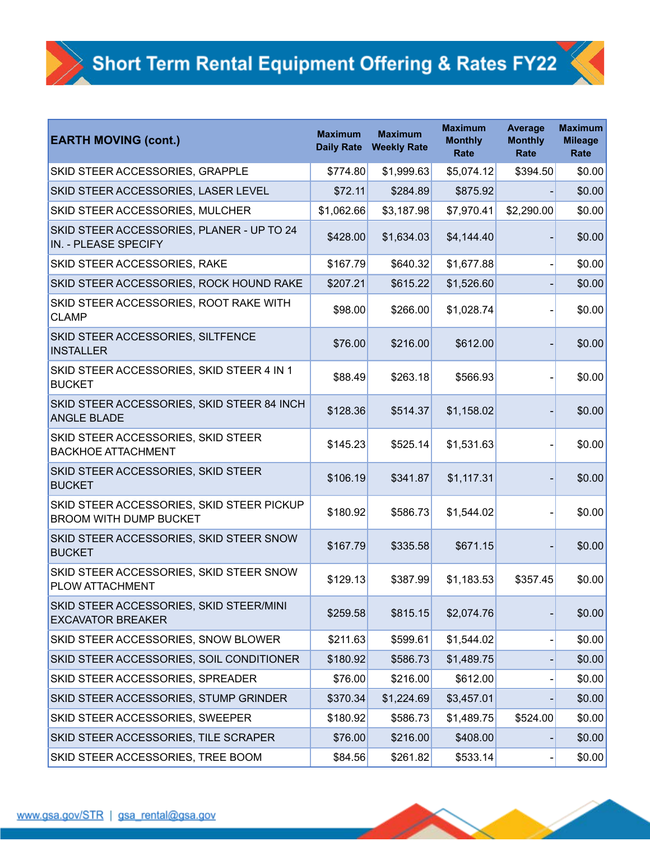| <b>EARTH MOVING (cont.)</b>                                                | <b>Maximum</b><br><b>Daily Rate</b> | <b>Maximum</b><br><b>Weekly Rate</b> | <b>Maximum</b><br><b>Monthly</b><br><b>Rate</b> | <b>Average</b><br><b>Monthly</b><br>Rate | <b>Maximum</b><br><b>Mileage</b><br>Rate |
|----------------------------------------------------------------------------|-------------------------------------|--------------------------------------|-------------------------------------------------|------------------------------------------|------------------------------------------|
| SKID STEER ACCESSORIES, GRAPPLE                                            | \$774.80                            | \$1,999.63                           | \$5,074.12                                      | \$394.50                                 | \$0.00                                   |
| SKID STEER ACCESSORIES, LASER LEVEL                                        | \$72.11                             | \$284.89                             | \$875.92                                        |                                          | \$0.00                                   |
| SKID STEER ACCESSORIES, MULCHER                                            | \$1,062.66                          | \$3,187.98                           | \$7,970.41                                      | \$2,290.00                               | \$0.00                                   |
| SKID STEER ACCESSORIES, PLANER - UP TO 24<br>IN. - PLEASE SPECIFY          | \$428.00                            | \$1,634.03                           | \$4,144.40                                      |                                          | \$0.00                                   |
| SKID STEER ACCESSORIES, RAKE                                               | \$167.79                            | \$640.32                             | \$1,677.88                                      |                                          | \$0.00                                   |
| SKID STEER ACCESSORIES, ROCK HOUND RAKE                                    | \$207.21                            | \$615.22                             | \$1,526.60                                      |                                          | \$0.00                                   |
| SKID STEER ACCESSORIES, ROOT RAKE WITH<br><b>CLAMP</b>                     | \$98.00                             | \$266.00                             | \$1,028.74                                      |                                          | \$0.00                                   |
| SKID STEER ACCESSORIES, SILTFENCE<br><b>INSTALLER</b>                      | \$76.00                             | \$216.00                             | \$612.00                                        |                                          | \$0.00                                   |
| SKID STEER ACCESSORIES, SKID STEER 4 IN 1<br><b>BUCKET</b>                 | \$88.49                             | \$263.18                             | \$566.93                                        |                                          | \$0.00                                   |
| SKID STEER ACCESSORIES, SKID STEER 84 INCH<br><b>ANGLE BLADE</b>           | \$128.36                            | \$514.37                             | \$1,158.02                                      |                                          | \$0.00                                   |
| SKID STEER ACCESSORIES, SKID STEER<br><b>BACKHOE ATTACHMENT</b>            | \$145.23                            | \$525.14                             | \$1,531.63                                      |                                          | \$0.00                                   |
| SKID STEER ACCESSORIES, SKID STEER<br><b>BUCKET</b>                        | \$106.19                            | \$341.87                             | \$1,117.31                                      |                                          | \$0.00                                   |
| SKID STEER ACCESSORIES, SKID STEER PICKUP<br><b>BROOM WITH DUMP BUCKET</b> | \$180.92                            | \$586.73                             | \$1,544.02                                      |                                          | \$0.00                                   |
| SKID STEER ACCESSORIES, SKID STEER SNOW<br><b>BUCKET</b>                   | \$167.79                            | \$335.58                             | \$671.15                                        |                                          | \$0.00                                   |
| SKID STEER ACCESSORIES, SKID STEER SNOW<br><b>PLOW ATTACHMENT</b>          | \$129.13                            | \$387.99                             | \$1,183.53                                      | \$357.45                                 | \$0.00                                   |
| SKID STEER ACCESSORIES, SKID STEER/MINI<br><b>EXCAVATOR BREAKER</b>        | \$259.58                            | \$815.15                             | \$2,074.76                                      |                                          | \$0.00                                   |
| SKID STEER ACCESSORIES, SNOW BLOWER                                        | \$211.63                            | \$599.61                             | \$1,544.02                                      |                                          | \$0.00                                   |
| SKID STEER ACCESSORIES, SOIL CONDITIONER                                   | \$180.92                            | \$586.73                             | \$1,489.75                                      |                                          | \$0.00                                   |
| SKID STEER ACCESSORIES, SPREADER                                           | \$76.00                             | \$216.00                             | \$612.00                                        |                                          | \$0.00                                   |
| SKID STEER ACCESSORIES, STUMP GRINDER                                      | \$370.34                            | \$1,224.69                           | \$3,457.01                                      |                                          | \$0.00                                   |
| SKID STEER ACCESSORIES, SWEEPER                                            | \$180.92                            | \$586.73                             | \$1,489.75                                      | \$524.00                                 | \$0.00                                   |
| SKID STEER ACCESSORIES, TILE SCRAPER                                       | \$76.00                             | \$216.00                             | \$408.00                                        |                                          | \$0.00                                   |
| SKID STEER ACCESSORIES, TREE BOOM                                          | \$84.56                             | \$261.82                             | \$533.14                                        |                                          | \$0.00                                   |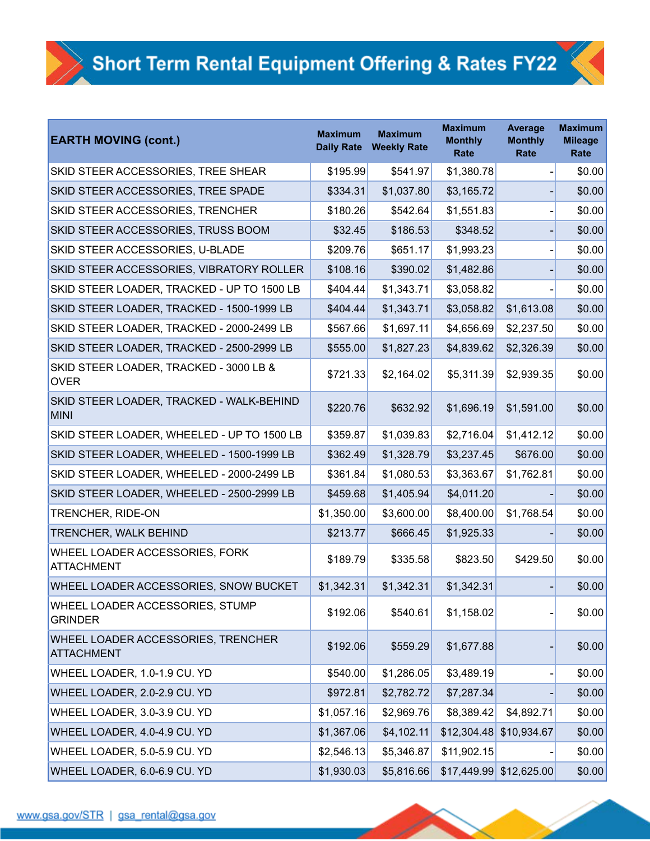| <b>EARTH MOVING (cont.)</b>                                    | <b>Maximum</b><br><b>Daily Rate</b> | <b>Maximum</b><br><b>Weekly Rate</b> | <b>Maximum</b><br><b>Monthly</b><br><b>Rate</b> | <b>Average</b><br><b>Monthly</b><br>Rate | <b>Maximum</b><br><b>Mileage</b><br>Rate |
|----------------------------------------------------------------|-------------------------------------|--------------------------------------|-------------------------------------------------|------------------------------------------|------------------------------------------|
| SKID STEER ACCESSORIES, TREE SHEAR                             | \$195.99                            | \$541.97                             | \$1,380.78                                      |                                          | \$0.00                                   |
| SKID STEER ACCESSORIES, TREE SPADE                             | \$334.31                            | \$1,037.80                           | \$3,165.72                                      |                                          | \$0.00                                   |
| SKID STEER ACCESSORIES, TRENCHER                               | \$180.26                            | \$542.64                             | \$1,551.83                                      |                                          | \$0.00                                   |
| SKID STEER ACCESSORIES, TRUSS BOOM                             | \$32.45                             | \$186.53                             | \$348.52                                        |                                          | \$0.00                                   |
| SKID STEER ACCESSORIES, U-BLADE                                | \$209.76                            | \$651.17                             | \$1,993.23                                      |                                          | \$0.00                                   |
| SKID STEER ACCESSORIES, VIBRATORY ROLLER                       | \$108.16                            | \$390.02                             | \$1,482.86                                      |                                          | \$0.00                                   |
| SKID STEER LOADER, TRACKED - UP TO 1500 LB                     | \$404.44                            | \$1,343.71                           | \$3,058.82                                      |                                          | \$0.00                                   |
| SKID STEER LOADER, TRACKED - 1500-1999 LB                      | \$404.44                            | \$1,343.71                           | \$3,058.82                                      | \$1,613.08                               | \$0.00                                   |
| SKID STEER LOADER, TRACKED - 2000-2499 LB                      | \$567.66                            | \$1,697.11                           | \$4,656.69                                      | \$2,237.50                               | \$0.00                                   |
| SKID STEER LOADER, TRACKED - 2500-2999 LB                      | \$555.00                            | \$1,827.23                           | \$4,839.62                                      | \$2,326.39                               | \$0.00                                   |
| SKID STEER LOADER, TRACKED - 3000 LB &<br><b>OVER</b>          | \$721.33                            | \$2,164.02                           | \$5,311.39                                      | \$2,939.35                               | \$0.00                                   |
| SKID STEER LOADER, TRACKED - WALK-BEHIND<br><b>MINI</b>        | \$220.76                            | \$632.92                             | \$1,696.19                                      | \$1,591.00                               | \$0.00                                   |
| SKID STEER LOADER, WHEELED - UP TO 1500 LB                     | \$359.87                            | \$1,039.83                           | \$2,716.04                                      | \$1,412.12                               | \$0.00                                   |
| SKID STEER LOADER, WHEELED - 1500-1999 LB                      | \$362.49                            | \$1,328.79                           | \$3,237.45                                      | \$676.00                                 | \$0.00                                   |
| SKID STEER LOADER, WHEELED - 2000-2499 LB                      | \$361.84                            | \$1,080.53                           | \$3,363.67                                      | \$1,762.81                               | \$0.00                                   |
| SKID STEER LOADER, WHEELED - 2500-2999 LB                      | \$459.68                            | \$1,405.94                           | \$4,011.20                                      |                                          | \$0.00                                   |
| <b>TRENCHER, RIDE-ON</b>                                       | \$1,350.00                          | \$3,600.00                           | \$8,400.00                                      | \$1,768.54                               | \$0.00                                   |
| <b>TRENCHER, WALK BEHIND</b>                                   | \$213.77                            | \$666.45                             | \$1,925.33                                      |                                          | \$0.00                                   |
| WHEEL LOADER ACCESSORIES, FORK<br><b>ATTACHMENT</b>            | \$189.79                            | \$335.58                             | \$823.50                                        | \$429.50                                 | \$0.00                                   |
| WHEEL LOADER ACCESSORIES, SNOW BUCKET                          | \$1,342.31                          | \$1,342.31                           | \$1,342.31                                      |                                          | \$0.00                                   |
| WHEEL LOADER ACCESSORIES, STUMP<br><b>GRINDER</b>              | \$192.06                            | \$540.61                             | \$1,158.02                                      |                                          | \$0.00                                   |
| <b>WHEEL LOADER ACCESSORIES, TRENCHER</b><br><b>ATTACHMENT</b> | \$192.06                            | \$559.29                             | \$1,677.88                                      |                                          | \$0.00                                   |
| WHEEL LOADER, 1.0-1.9 CU. YD                                   | \$540.00                            | \$1,286.05                           | \$3,489.19                                      |                                          | \$0.00                                   |
| WHEEL LOADER, 2.0-2.9 CU. YD                                   | \$972.81                            | \$2,782.72                           | \$7,287.34                                      |                                          | \$0.00                                   |
| WHEEL LOADER, 3.0-3.9 CU. YD                                   | \$1,057.16                          | \$2,969.76                           | \$8,389.42                                      | \$4,892.71                               | \$0.00                                   |
| WHEEL LOADER, 4.0-4.9 CU. YD                                   | \$1,367.06                          | \$4,102.11                           |                                                 | \$12,304.48 \$10,934.67                  | \$0.00                                   |
| WHEEL LOADER, 5.0-5.9 CU. YD                                   | \$2,546.13                          | \$5,346.87                           | \$11,902.15                                     |                                          | \$0.00                                   |
| WHEEL LOADER, 6.0-6.9 CU. YD                                   | \$1,930.03                          | \$5,816.66                           |                                                 | \$17,449.99 \$12,625.00                  | \$0.00                                   |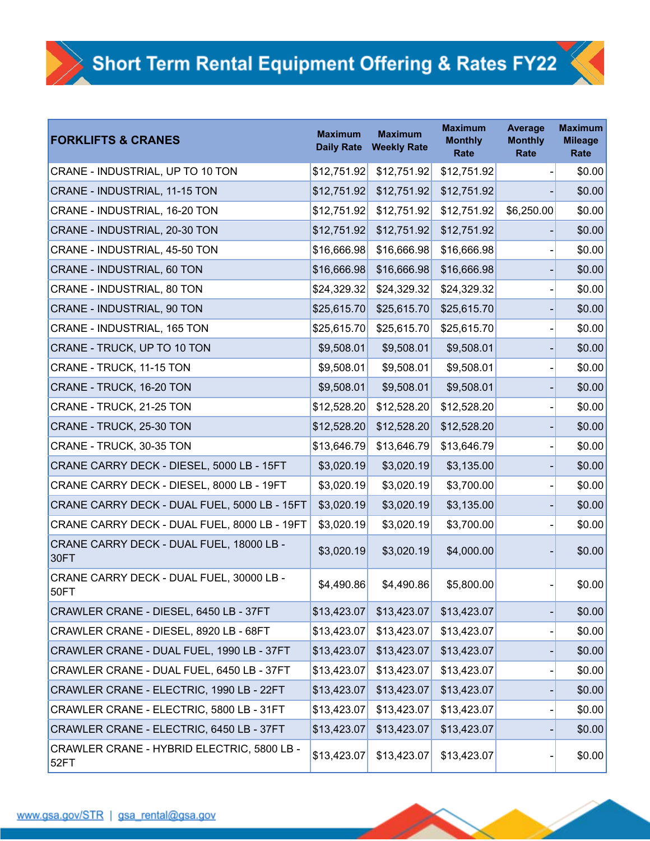| <b>FORKLIFTS &amp; CRANES</b>                      | <b>Maximum</b><br><b>Daily Rate</b> | <b>Maximum</b><br><b>Weekly Rate</b> | <b>Maximum</b><br><b>Monthly</b><br>Rate | <b>Average</b><br><b>Monthly</b><br>Rate | <b>Maximum</b><br><b>Mileage</b><br>Rate |
|----------------------------------------------------|-------------------------------------|--------------------------------------|------------------------------------------|------------------------------------------|------------------------------------------|
| CRANE - INDUSTRIAL, UP TO 10 TON                   | \$12,751.92                         | \$12,751.92                          | \$12,751.92                              |                                          | \$0.00                                   |
| CRANE - INDUSTRIAL, 11-15 TON                      | \$12,751.92                         | \$12,751.92                          | \$12,751.92                              |                                          | \$0.00                                   |
| CRANE - INDUSTRIAL, 16-20 TON                      | \$12,751.92                         | \$12,751.92                          | \$12,751.92                              | \$6,250.00                               | \$0.00                                   |
| CRANE - INDUSTRIAL, 20-30 TON                      | \$12,751.92                         | \$12,751.92                          | \$12,751.92                              |                                          | \$0.00                                   |
| CRANE - INDUSTRIAL, 45-50 TON                      | \$16,666.98                         | \$16,666.98                          | \$16,666.98                              |                                          | \$0.00                                   |
| CRANE - INDUSTRIAL, 60 TON                         | \$16,666.98                         | \$16,666.98                          | \$16,666.98                              |                                          | \$0.00                                   |
| CRANE - INDUSTRIAL, 80 TON                         | \$24,329.32                         | \$24,329.32                          | \$24,329.32                              |                                          | \$0.00                                   |
| CRANE - INDUSTRIAL, 90 TON                         | \$25,615.70                         | \$25,615.70                          | \$25,615.70                              |                                          | \$0.00                                   |
| CRANE - INDUSTRIAL, 165 TON                        | \$25,615.70                         | \$25,615.70                          | \$25,615.70                              |                                          | \$0.00                                   |
| CRANE - TRUCK, UP TO 10 TON                        | \$9,508.01                          | \$9,508.01                           | \$9,508.01                               |                                          | \$0.00                                   |
| CRANE - TRUCK, 11-15 TON                           | \$9,508.01                          | \$9,508.01                           | \$9,508.01                               |                                          | \$0.00                                   |
| CRANE - TRUCK, 16-20 TON                           | \$9,508.01                          | \$9,508.01                           | \$9,508.01                               |                                          | \$0.00                                   |
| CRANE - TRUCK, 21-25 TON                           | \$12,528.20                         | \$12,528.20                          | \$12,528.20                              |                                          | \$0.00                                   |
| CRANE - TRUCK, 25-30 TON                           | \$12,528.20                         | \$12,528.20                          | \$12,528.20                              |                                          | \$0.00                                   |
| CRANE - TRUCK, 30-35 TON                           | \$13,646.79                         | \$13,646.79                          | \$13,646.79                              |                                          | \$0.00                                   |
| CRANE CARRY DECK - DIESEL, 5000 LB - 15FT          | \$3,020.19                          | \$3,020.19                           | \$3,135.00                               |                                          | \$0.00                                   |
| CRANE CARRY DECK - DIESEL, 8000 LB - 19FT          | \$3,020.19                          | \$3,020.19                           | \$3,700.00                               |                                          | \$0.00                                   |
| CRANE CARRY DECK - DUAL FUEL, 5000 LB - 15FT       | \$3,020.19                          | \$3,020.19                           | \$3,135.00                               |                                          | \$0.00                                   |
| CRANE CARRY DECK - DUAL FUEL, 8000 LB - 19FT       | \$3,020.19                          | \$3,020.19                           | \$3,700.00                               |                                          | \$0.00                                   |
| CRANE CARRY DECK - DUAL FUEL, 18000 LB -<br>30FT   | \$3,020.19                          | \$3,020.19                           | \$4,000.00                               |                                          | \$0.00                                   |
| CRANE CARRY DECK - DUAL FUEL, 30000 LB -<br>50FT   | \$4,490.86                          | \$4,490.86                           | \$5,800.00                               |                                          | \$0.00                                   |
| CRAWLER CRANE - DIESEL, 6450 LB - 37FT             | \$13,423.07                         | \$13,423.07                          | \$13,423.07                              |                                          | \$0.00                                   |
| CRAWLER CRANE - DIESEL, 8920 LB - 68FT             | \$13,423.07                         | \$13,423.07                          | \$13,423.07                              |                                          | \$0.00                                   |
| CRAWLER CRANE - DUAL FUEL, 1990 LB - 37FT          | \$13,423.07                         | \$13,423.07                          | \$13,423.07                              |                                          | \$0.00                                   |
| CRAWLER CRANE - DUAL FUEL, 6450 LB - 37FT          | \$13,423.07                         | \$13,423.07                          | \$13,423.07                              |                                          | \$0.00                                   |
| CRAWLER CRANE - ELECTRIC, 1990 LB - 22FT           | \$13,423.07                         | \$13,423.07                          | \$13,423.07                              |                                          | \$0.00                                   |
| CRAWLER CRANE - ELECTRIC, 5800 LB - 31FT           | \$13,423.07                         | \$13,423.07                          | \$13,423.07                              |                                          | \$0.00                                   |
| CRAWLER CRANE - ELECTRIC, 6450 LB - 37FT           | \$13,423.07                         | \$13,423.07                          | \$13,423.07                              |                                          | \$0.00                                   |
| CRAWLER CRANE - HYBRID ELECTRIC, 5800 LB -<br>52FT | \$13,423.07                         | \$13,423.07                          | \$13,423.07                              |                                          | \$0.00                                   |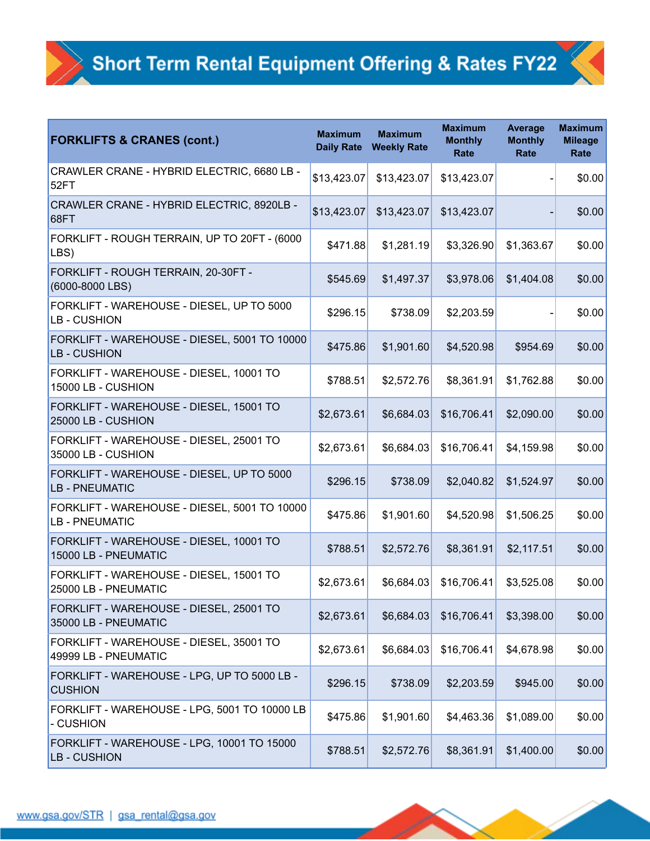| <b>FORKLIFTS &amp; CRANES (cont.)</b>                               | <b>Maximum</b><br><b>Daily Rate</b> | <b>Maximum</b><br><b>Weekly Rate</b> | <b>Maximum</b><br><b>Monthly</b><br>Rate | <b>Average</b><br><b>Monthly</b><br>Rate | <b>Maximum</b><br><b>Mileage</b><br>Rate |
|---------------------------------------------------------------------|-------------------------------------|--------------------------------------|------------------------------------------|------------------------------------------|------------------------------------------|
| CRAWLER CRANE - HYBRID ELECTRIC, 6680 LB -<br>52FT                  | \$13,423.07                         | \$13,423.07                          | \$13,423.07                              |                                          | \$0.00                                   |
| CRAWLER CRANE - HYBRID ELECTRIC, 8920LB -<br>68FT                   | \$13,423.07                         | \$13,423.07                          | \$13,423.07                              |                                          | \$0.00                                   |
| FORKLIFT - ROUGH TERRAIN, UP TO 20FT - (6000<br>LBS)                | \$471.88                            | \$1,281.19                           | \$3,326.90                               | \$1,363.67                               | \$0.00                                   |
| FORKLIFT - ROUGH TERRAIN, 20-30FT -<br>$(6000 - 8000$ LBS)          | \$545.69                            | \$1,497.37                           | \$3,978.06                               | \$1,404.08                               | \$0.00                                   |
| FORKLIFT - WAREHOUSE - DIESEL, UP TO 5000<br>LB - CUSHION           | \$296.15                            | \$738.09                             | \$2,203.59                               |                                          | \$0.00                                   |
| FORKLIFT - WAREHOUSE - DIESEL, 5001 TO 10000<br><b>LB-CUSHION</b>   | \$475.86                            | \$1,901.60                           | \$4,520.98                               | \$954.69                                 | \$0.00                                   |
| FORKLIFT - WAREHOUSE - DIESEL, 10001 TO<br>15000 LB - CUSHION       | \$788.51                            | \$2,572.76                           | \$8,361.91                               | \$1,762.88                               | \$0.00                                   |
| FORKLIFT - WAREHOUSE - DIESEL, 15001 TO<br>25000 LB - CUSHION       | \$2,673.61                          | \$6,684.03                           | \$16,706.41                              | \$2,090.00                               | \$0.00                                   |
| FORKLIFT - WAREHOUSE - DIESEL, 25001 TO<br>35000 LB - CUSHION       | \$2,673.61                          | \$6,684.03                           | \$16,706.41                              | \$4,159.98                               | \$0.00                                   |
| FORKLIFT - WAREHOUSE - DIESEL, UP TO 5000<br>LB - PNEUMATIC         | \$296.15                            | \$738.09                             | \$2,040.82                               | \$1,524.97                               | \$0.00                                   |
| FORKLIFT - WAREHOUSE - DIESEL, 5001 TO 10000<br><b>LB-PNEUMATIC</b> | \$475.86                            | \$1,901.60                           | \$4,520.98                               | \$1,506.25                               | \$0.00                                   |
| FORKLIFT - WAREHOUSE - DIESEL, 10001 TO<br>15000 LB - PNEUMATIC     | \$788.51                            | \$2,572.76                           | \$8,361.91                               | \$2,117.51                               | \$0.00                                   |
| FORKLIFT - WAREHOUSE - DIESEL, 15001 TO<br>25000 LB - PNEUMATIC     | \$2,673.61                          | \$6,684.03                           | \$16,706.41                              | \$3,525.08                               | \$0.00                                   |
| FORKLIFT - WAREHOUSE - DIESEL, 25001 TO<br>35000 LB - PNEUMATIC     | \$2,673.61                          | \$6,684.03                           | \$16,706.41                              | \$3,398.00                               | \$0.00                                   |
| FORKLIFT - WAREHOUSE - DIESEL, 35001 TO<br>49999 LB - PNEUMATIC     | \$2,673.61                          | \$6,684.03                           | \$16,706.41                              | \$4,678.98                               | \$0.00                                   |
| FORKLIFT - WAREHOUSE - LPG, UP TO 5000 LB -<br><b>CUSHION</b>       | \$296.15                            | \$738.09                             | \$2,203.59                               | \$945.00                                 | \$0.00                                   |
| FORKLIFT - WAREHOUSE - LPG, 5001 TO 10000 LB<br>- CUSHION           | \$475.86                            | \$1,901.60                           | \$4,463.36                               | \$1,089.00                               | \$0.00                                   |
| FORKLIFT - WAREHOUSE - LPG, 10001 TO 15000<br>LB - CUSHION          | \$788.51                            | \$2,572.76                           | \$8,361.91                               | \$1,400.00                               | \$0.00                                   |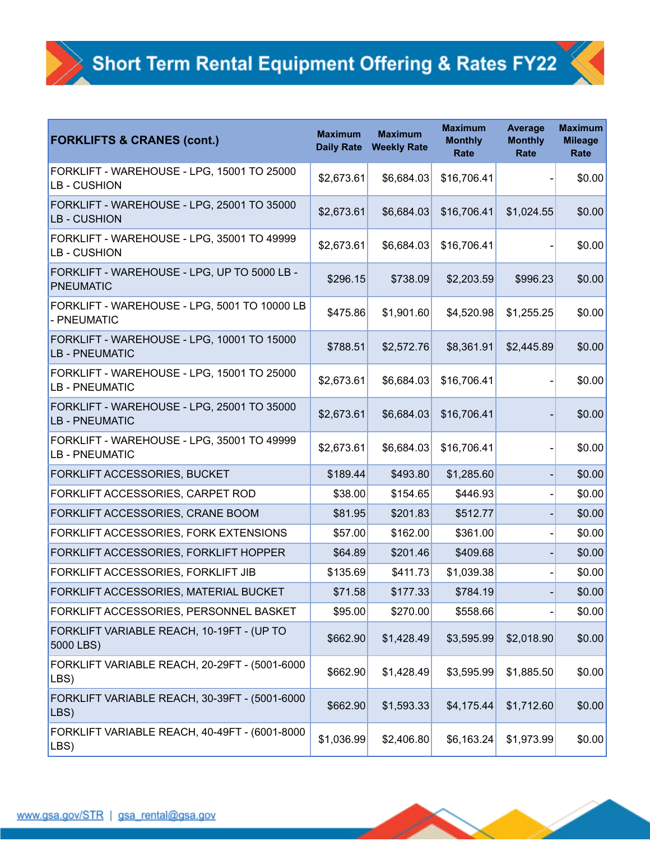| <b>FORKLIFTS &amp; CRANES (cont.)</b>                        | <b>Maximum</b><br><b>Daily Rate</b> | <b>Maximum</b><br><b>Weekly Rate</b> | <b>Maximum</b><br><b>Monthly</b><br><b>Rate</b> | <b>Average</b><br><b>Monthly</b><br>Rate | <b>Maximum</b><br><b>Mileage</b><br>Rate |
|--------------------------------------------------------------|-------------------------------------|--------------------------------------|-------------------------------------------------|------------------------------------------|------------------------------------------|
| FORKLIFT - WAREHOUSE - LPG, 15001 TO 25000<br>LB - CUSHION   | \$2,673.61                          | \$6,684.03                           | \$16,706.41                                     |                                          | \$0.00                                   |
| FORKLIFT - WAREHOUSE - LPG, 25001 TO 35000<br>LB - CUSHION   | \$2,673.61                          | \$6,684.03                           | \$16,706.41                                     | \$1,024.55                               | \$0.00                                   |
| FORKLIFT - WAREHOUSE - LPG, 35001 TO 49999<br>LB - CUSHION   | \$2,673.61                          | \$6,684.03                           | \$16,706.41                                     |                                          | \$0.00                                   |
| FORKLIFT - WAREHOUSE - LPG, UP TO 5000 LB -<br>PNEUMATIC     | \$296.15                            | \$738.09                             | \$2,203.59                                      | \$996.23                                 | \$0.00                                   |
| FORKLIFT - WAREHOUSE - LPG, 5001 TO 10000 LB<br>- PNEUMATIC  | \$475.86                            | \$1,901.60                           | \$4,520.98                                      | \$1,255.25                               | \$0.00                                   |
| FORKLIFT - WAREHOUSE - LPG, 10001 TO 15000<br>LB - PNEUMATIC | \$788.51                            | \$2,572.76                           | \$8,361.91                                      | \$2,445.89                               | \$0.00                                   |
| FORKLIFT - WAREHOUSE - LPG, 15001 TO 25000<br>LB - PNEUMATIC | \$2,673.61                          | \$6,684.03                           | \$16,706.41                                     |                                          | \$0.00                                   |
| FORKLIFT - WAREHOUSE - LPG, 25001 TO 35000<br>LB - PNEUMATIC | \$2,673.61                          | \$6,684.03                           | \$16,706.41                                     |                                          | \$0.00                                   |
| FORKLIFT - WAREHOUSE - LPG, 35001 TO 49999<br>LB - PNEUMATIC | \$2,673.61                          | \$6,684.03                           | \$16,706.41                                     |                                          | \$0.00                                   |
| FORKLIFT ACCESSORIES, BUCKET                                 | \$189.44                            | \$493.80                             | \$1,285.60                                      |                                          | \$0.00                                   |
| FORKLIFT ACCESSORIES, CARPET ROD                             | \$38.00                             | \$154.65                             | \$446.93                                        |                                          | \$0.00                                   |
| FORKLIFT ACCESSORIES, CRANE BOOM                             | \$81.95                             | \$201.83                             | \$512.77                                        |                                          | \$0.00                                   |
| FORKLIFT ACCESSORIES, FORK EXTENSIONS                        | \$57.00                             | \$162.00                             | \$361.00                                        |                                          | \$0.00                                   |
| FORKLIFT ACCESSORIES, FORKLIFT HOPPER                        | \$64.89                             | \$201.46                             | \$409.68                                        |                                          | \$0.00                                   |
| FORKLIFT ACCESSORIES, FORKLIFT JIB                           | \$135.69                            | \$411.73                             | \$1,039.38                                      |                                          | \$0.00                                   |
| FORKLIFT ACCESSORIES, MATERIAL BUCKET                        | \$71.58                             | \$177.33                             | \$784.19                                        |                                          | \$0.00                                   |
| FORKLIFT ACCESSORIES, PERSONNEL BASKET                       | \$95.00                             | \$270.00                             | \$558.66                                        |                                          | \$0.00                                   |
| FORKLIFT VARIABLE REACH, 10-19FT - (UP TO<br>5000 LBS)       | \$662.90                            | \$1,428.49                           | \$3,595.99                                      | \$2,018.90                               | \$0.00                                   |
| FORKLIFT VARIABLE REACH, 20-29FT - (5001-6000<br>LBS)        | \$662.90                            | \$1,428.49                           | \$3,595.99                                      | \$1,885.50                               | \$0.00                                   |
| FORKLIFT VARIABLE REACH, 30-39FT - (5001-6000<br>LBS)        | \$662.90                            | \$1,593.33                           | \$4,175.44                                      | \$1,712.60                               | \$0.00                                   |
| FORKLIFT VARIABLE REACH, 40-49FT - (6001-8000<br>LBS)        | \$1,036.99                          | \$2,406.80                           | \$6,163.24                                      | \$1,973.99                               | \$0.00                                   |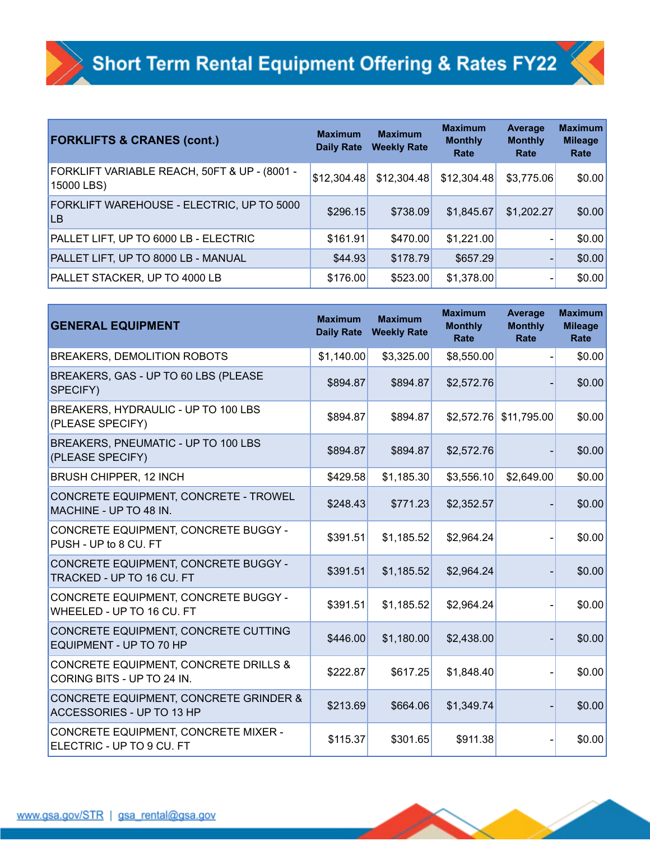| <b>FORKLIFTS &amp; CRANES (cont.)</b>                      | <b>Maximum</b><br><b>Daily Rate</b> | <b>Maximum</b><br><b>Weekly Rate</b> | <b>Maximum</b><br><b>Monthly</b><br>Rate | Average<br><b>Monthly</b><br>Rate | <b>Maximum</b><br><b>Mileage</b><br>Rate |
|------------------------------------------------------------|-------------------------------------|--------------------------------------|------------------------------------------|-----------------------------------|------------------------------------------|
| FORKLIFT VARIABLE REACH, 50FT & UP - (8001 -<br>15000 LBS) | \$12,304.48                         | \$12,304.48                          | \$12,304.48                              | \$3,775.06                        | \$0.00                                   |
| FORKLIFT WAREHOUSE - ELECTRIC, UP TO 5000<br><b>LB</b>     | \$296.15                            | \$738.09                             | \$1,845.67                               | \$1,202.27                        | \$0.00                                   |
| PALLET LIFT, UP TO 6000 LB - ELECTRIC                      | \$161.91                            | \$470.00                             | \$1,221.00                               |                                   | \$0.00                                   |
| PALLET LIFT, UP TO 8000 LB - MANUAL                        | \$44.93                             | \$178.79                             | \$657.29                                 |                                   | \$0.00                                   |
| <b>PALLET STACKER, UP TO 4000 LB</b>                       | \$176.00                            | \$523.00                             | \$1,378.00                               |                                   | \$0.00                                   |

| <b>GENERAL EQUIPMENT</b>                                                       | <b>Maximum</b><br><b>Daily Rate</b> | <b>Maximum</b><br><b>Weekly Rate</b> | <b>Maximum</b><br><b>Monthly</b><br><b>Rate</b> | <b>Average</b><br><b>Monthly</b><br><b>Rate</b> | <b>Maximum</b><br><b>Mileage</b><br>Rate |
|--------------------------------------------------------------------------------|-------------------------------------|--------------------------------------|-------------------------------------------------|-------------------------------------------------|------------------------------------------|
| BREAKERS, DEMOLITION ROBOTS                                                    | \$1,140.00                          | \$3,325.00                           | \$8,550.00                                      |                                                 | \$0.00                                   |
| BREAKERS, GAS - UP TO 60 LBS (PLEASE<br>SPECIFY)                               | \$894.87                            | \$894.87                             | \$2,572.76                                      |                                                 | \$0.00                                   |
| BREAKERS, HYDRAULIC - UP TO 100 LBS<br>(PLEASE SPECIFY)                        | \$894.87                            | \$894.87                             | \$2,572.76                                      | \$11,795.00                                     | \$0.00                                   |
| BREAKERS, PNEUMATIC - UP TO 100 LBS<br>(PLEASE SPECIFY)                        | \$894.87                            | \$894.87                             | \$2,572.76                                      |                                                 | \$0.00                                   |
| <b>BRUSH CHIPPER, 12 INCH</b>                                                  | \$429.58                            | \$1,185.30                           | \$3,556.10                                      | \$2,649.00                                      | \$0.00                                   |
| CONCRETE EQUIPMENT, CONCRETE - TROWEL<br>MACHINE - UP TO 48 IN.                | \$248.43                            | \$771.23                             | \$2,352.57                                      |                                                 | \$0.00                                   |
| CONCRETE EQUIPMENT, CONCRETE BUGGY -<br>PUSH - UP to 8 CU. FT                  | \$391.51                            | \$1,185.52                           | \$2,964.24                                      |                                                 | \$0.00                                   |
| CONCRETE EQUIPMENT, CONCRETE BUGGY -<br>TRACKED - UP TO 16 CU. FT              | \$391.51                            | \$1,185.52                           | \$2,964.24                                      |                                                 | \$0.00                                   |
| CONCRETE EQUIPMENT, CONCRETE BUGGY -<br>WHEELED - UP TO 16 CU. FT              | \$391.51                            | \$1,185.52                           | \$2,964.24                                      |                                                 | \$0.00                                   |
| CONCRETE EQUIPMENT, CONCRETE CUTTING<br>EQUIPMENT - UP TO 70 HP                | \$446.00                            | \$1,180.00                           | \$2,438.00                                      |                                                 | \$0.00                                   |
| CONCRETE EQUIPMENT, CONCRETE DRILLS &<br>CORING BITS - UP TO 24 IN.            | \$222.87                            | \$617.25                             | \$1,848.40                                      |                                                 | \$0.00                                   |
| <b>CONCRETE EQUIPMENT, CONCRETE GRINDER &amp;</b><br>ACCESSORIES - UP TO 13 HP | \$213.69                            | \$664.06                             | \$1,349.74                                      |                                                 | \$0.00                                   |
| CONCRETE EQUIPMENT, CONCRETE MIXER -<br>ELECTRIC - UP TO 9 CU. FT              | \$115.37                            | \$301.65                             | \$911.38                                        |                                                 | \$0.00                                   |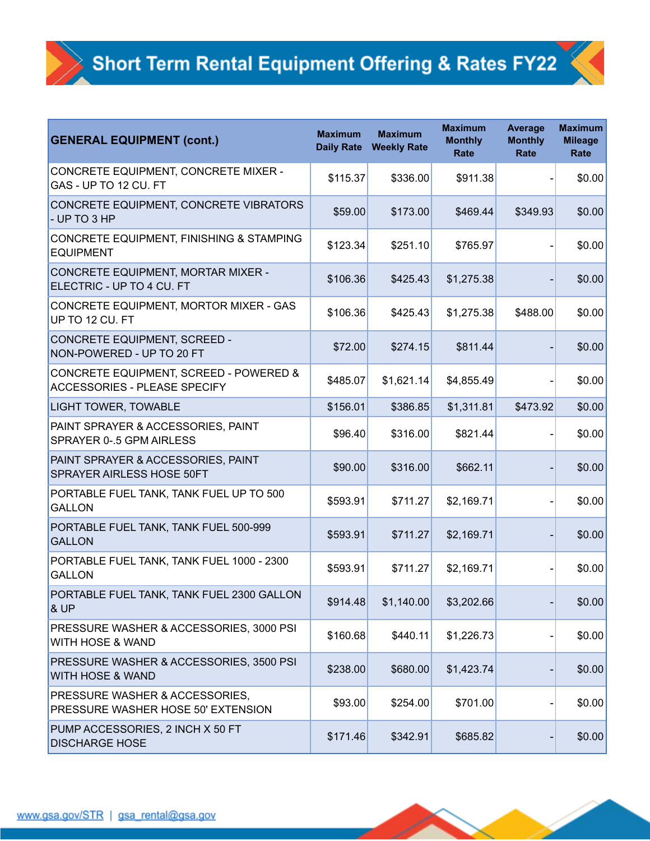| <b>GENERAL EQUIPMENT (cont.)</b>                                                  | <b>Maximum</b><br><b>Daily Rate</b> | <b>Maximum</b><br><b>Weekly Rate</b> | <b>Maximum</b><br><b>Monthly</b><br>Rate | <b>Average</b><br><b>Monthly</b><br>Rate | <b>Maximum</b><br><b>Mileage</b><br>Rate |
|-----------------------------------------------------------------------------------|-------------------------------------|--------------------------------------|------------------------------------------|------------------------------------------|------------------------------------------|
| CONCRETE EQUIPMENT, CONCRETE MIXER -<br>GAS - UP TO 12 CU. FT                     | \$115.37                            | \$336.00                             | \$911.38                                 |                                          | \$0.00                                   |
| CONCRETE EQUIPMENT, CONCRETE VIBRATORS<br>- UP TO 3 HP                            | \$59.00                             | \$173.00                             | \$469.44                                 | \$349.93                                 | \$0.00                                   |
| CONCRETE EQUIPMENT, FINISHING & STAMPING<br><b>EQUIPMENT</b>                      | \$123.34                            | \$251.10                             | \$765.97                                 |                                          | \$0.00                                   |
| CONCRETE EQUIPMENT, MORTAR MIXER -<br>ELECTRIC - UP TO 4 CU. FT                   | \$106.36                            | \$425.43                             | \$1,275.38                               |                                          | \$0.00                                   |
| CONCRETE EQUIPMENT, MORTOR MIXER - GAS<br>UP TO 12 CU. FT                         | \$106.36                            | \$425.43                             | \$1,275.38                               | \$488.00                                 | \$0.00                                   |
| CONCRETE EQUIPMENT, SCREED -<br>NON-POWERED - UP TO 20 FT                         | \$72.00                             | \$274.15                             | \$811.44                                 |                                          | \$0.00                                   |
| CONCRETE EQUIPMENT, SCREED - POWERED &<br><b>ACCESSORIES - PLEASE SPECIFY</b>     | \$485.07                            | \$1,621.14                           | \$4,855.49                               |                                          | \$0.00                                   |
| <b>LIGHT TOWER, TOWABLE</b>                                                       | \$156.01                            | \$386.85                             | \$1,311.81                               | \$473.92                                 | \$0.00                                   |
| PAINT SPRAYER & ACCESSORIES, PAINT<br>SPRAYER 0-.5 GPM AIRLESS                    | \$96.40                             | \$316.00                             | \$821.44                                 |                                          | \$0.00                                   |
| PAINT SPRAYER & ACCESSORIES, PAINT<br><b>SPRAYER AIRLESS HOSE 50FT</b>            | \$90.00                             | \$316.00                             | \$662.11                                 |                                          | \$0.00                                   |
| PORTABLE FUEL TANK, TANK FUEL UP TO 500<br><b>GALLON</b>                          | \$593.91                            | \$711.27                             | \$2,169.71                               |                                          | \$0.00                                   |
| PORTABLE FUEL TANK, TANK FUEL 500-999<br><b>GALLON</b>                            | \$593.91                            | \$711.27                             | \$2,169.71                               |                                          | \$0.00                                   |
| PORTABLE FUEL TANK, TANK FUEL 1000 - 2300<br><b>GALLON</b>                        | \$593.91                            | \$711.27                             | \$2,169.71                               |                                          | \$0.00                                   |
| PORTABLE FUEL TANK, TANK FUEL 2300 GALLON<br>& UP                                 | \$914.48                            | \$1,140.00                           | \$3,202.66                               |                                          | \$0.00                                   |
| <b>PRESSURE WASHER &amp; ACCESSORIES, 3000 PSI</b><br><b>WITH HOSE &amp; WAND</b> | \$160.68                            | \$440.11                             | \$1,226.73                               |                                          | \$0.00                                   |
| <b>PRESSURE WASHER &amp; ACCESSORIES, 3500 PSI</b><br><b>WITH HOSE &amp; WAND</b> | \$238.00                            | \$680.00                             | \$1,423.74                               |                                          | \$0.00                                   |
| <b>PRESSURE WASHER &amp; ACCESSORIES,</b><br>PRESSURE WASHER HOSE 50' EXTENSION   | \$93.00                             | \$254.00                             | \$701.00                                 |                                          | \$0.00                                   |
| PUMP ACCESSORIES, 2 INCH X 50 FT<br><b>DISCHARGE HOSE</b>                         | \$171.46                            | \$342.91                             | \$685.82                                 |                                          | \$0.00                                   |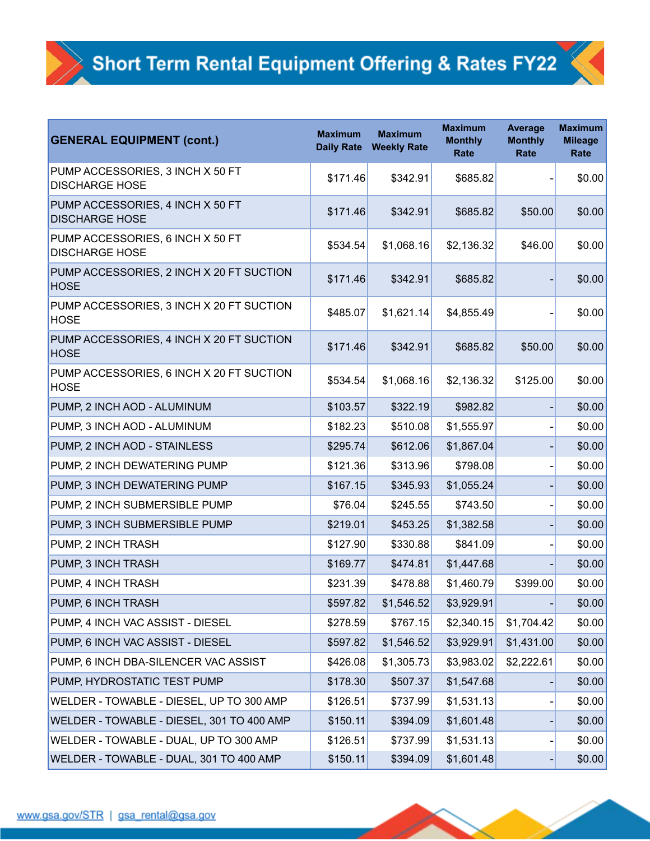| <b>GENERAL EQUIPMENT (cont.)</b>                          | <b>Maximum</b><br><b>Daily Rate</b> | <b>Maximum</b><br><b>Weekly Rate</b> | <b>Maximum</b><br><b>Monthly</b><br>Rate | <b>Average</b><br><b>Monthly</b><br>Rate | <b>Maximum</b><br><b>Mileage</b><br>Rate |
|-----------------------------------------------------------|-------------------------------------|--------------------------------------|------------------------------------------|------------------------------------------|------------------------------------------|
| PUMP ACCESSORIES, 3 INCH X 50 FT<br><b>DISCHARGE HOSE</b> | \$171.46                            | \$342.91                             | \$685.82                                 |                                          | \$0.00                                   |
| PUMP ACCESSORIES, 4 INCH X 50 FT<br><b>DISCHARGE HOSE</b> | \$171.46                            | \$342.91                             | \$685.82                                 | \$50.00                                  | \$0.00                                   |
| PUMP ACCESSORIES, 6 INCH X 50 FT<br><b>DISCHARGE HOSE</b> | \$534.54                            | \$1,068.16                           | \$2,136.32                               | \$46.00                                  | \$0.00                                   |
| PUMP ACCESSORIES, 2 INCH X 20 FT SUCTION<br><b>HOSE</b>   | \$171.46                            | \$342.91                             | \$685.82                                 |                                          | \$0.00                                   |
| PUMP ACCESSORIES, 3 INCH X 20 FT SUCTION<br><b>HOSE</b>   | \$485.07                            | \$1,621.14                           | \$4,855.49                               |                                          | \$0.00                                   |
| PUMP ACCESSORIES, 4 INCH X 20 FT SUCTION<br><b>HOSE</b>   | \$171.46                            | \$342.91                             | \$685.82                                 | \$50.00                                  | \$0.00                                   |
| PUMP ACCESSORIES, 6 INCH X 20 FT SUCTION<br><b>HOSE</b>   | \$534.54                            | \$1,068.16                           | \$2,136.32                               | \$125.00                                 | \$0.00                                   |
| PUMP, 2 INCH AOD - ALUMINUM                               | \$103.57                            | \$322.19                             | \$982.82                                 |                                          | \$0.00                                   |
| PUMP, 3 INCH AOD - ALUMINUM                               | \$182.23                            | \$510.08                             | \$1,555.97                               |                                          | \$0.00                                   |
| PUMP, 2 INCH AOD - STAINLESS                              | \$295.74                            | \$612.06                             | \$1,867.04                               |                                          | \$0.00                                   |
| PUMP, 2 INCH DEWATERING PUMP                              | \$121.36                            | \$313.96                             | \$798.08                                 |                                          | \$0.00                                   |
| PUMP, 3 INCH DEWATERING PUMP                              | \$167.15                            | \$345.93                             | \$1,055.24                               |                                          | \$0.00                                   |
| PUMP, 2 INCH SUBMERSIBLE PUMP                             | \$76.04                             | \$245.55                             | \$743.50                                 |                                          | \$0.00                                   |
| PUMP, 3 INCH SUBMERSIBLE PUMP                             | \$219.01                            | \$453.25                             | \$1,382.58                               |                                          | \$0.00                                   |
| PUMP, 2 INCH TRASH                                        | \$127.90                            | \$330.88                             | \$841.09                                 |                                          | \$0.00                                   |
| PUMP, 3 INCH TRASH                                        | \$169.77                            | \$474.81                             | \$1,447.68                               |                                          | \$0.00                                   |
| PUMP, 4 INCH TRASH                                        | \$231.39                            | \$478.88                             | \$1,460.79                               | \$399.00                                 | \$0.00                                   |
| PUMP, 6 INCH TRASH                                        | \$597.82                            | \$1,546.52                           | \$3,929.91                               |                                          | \$0.00                                   |
| PUMP, 4 INCH VAC ASSIST - DIESEL                          | \$278.59                            | \$767.15                             | \$2,340.15                               | \$1,704.42                               | \$0.00                                   |
| PUMP, 6 INCH VAC ASSIST - DIESEL                          | \$597.82                            | \$1,546.52                           | \$3,929.91                               | \$1,431.00                               | \$0.00                                   |
| PUMP, 6 INCH DBA-SILENCER VAC ASSIST                      | \$426.08                            | \$1,305.73                           | \$3,983.02                               | \$2,222.61                               | \$0.00                                   |
| PUMP, HYDROSTATIC TEST PUMP                               | \$178.30                            | \$507.37                             | \$1,547.68                               |                                          | \$0.00                                   |
| WELDER - TOWABLE - DIESEL, UP TO 300 AMP                  | \$126.51                            | \$737.99                             | \$1,531.13                               |                                          | \$0.00                                   |
| WELDER - TOWABLE - DIESEL, 301 TO 400 AMP                 | \$150.11                            | \$394.09                             | \$1,601.48                               |                                          | \$0.00                                   |
| WELDER - TOWABLE - DUAL, UP TO 300 AMP                    | \$126.51                            | \$737.99                             | \$1,531.13                               |                                          | \$0.00                                   |
| WELDER - TOWABLE - DUAL, 301 TO 400 AMP                   | \$150.11                            | \$394.09                             | \$1,601.48                               |                                          | \$0.00                                   |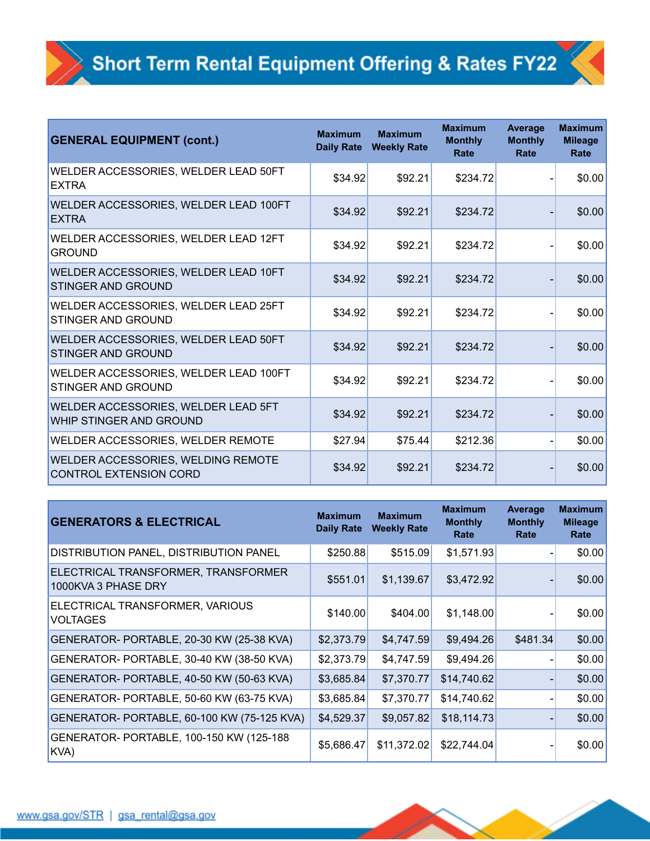| <b>GENERAL EQUIPMENT (cont.)</b>                                             | <b>Maximum</b><br><b>Daily Rate</b> | <b>Maximum</b><br><b>Weekly Rate</b> | <b>Maximum</b><br><b>Monthly</b><br>Rate | <b>Average</b><br><b>Monthly</b><br>Rate | <b>Maximum</b><br><b>Mileage</b><br>Rate |
|------------------------------------------------------------------------------|-------------------------------------|--------------------------------------|------------------------------------------|------------------------------------------|------------------------------------------|
| WELDER ACCESSORIES, WELDER LEAD 50FT<br><b>EXTRA</b>                         | \$34.92                             | \$92.21                              | \$234.72                                 |                                          | \$0.00                                   |
| WELDER ACCESSORIES, WELDER LEAD 100FT<br><b>EXTRA</b>                        | \$34.92                             | \$92.21                              | \$234.72                                 |                                          | \$0.00                                   |
| WELDER ACCESSORIES, WELDER LEAD 12FT<br><b>GROUND</b>                        | \$34.92                             | \$92.21                              | \$234.72                                 |                                          | \$0.00                                   |
| <b>WELDER ACCESSORIES, WELDER LEAD 10FT</b><br><b>STINGER AND GROUND</b>     | \$34.92                             | \$92.21                              | \$234.72                                 |                                          | \$0.00                                   |
| <b>WELDER ACCESSORIES, WELDER LEAD 25FT</b><br>STINGER AND GROUND            | \$34.92                             | \$92.21                              | \$234.72                                 |                                          | \$0.00                                   |
| <b>WELDER ACCESSORIES, WELDER LEAD 50FT</b><br><b>STINGER AND GROUND</b>     | \$34.92                             | \$92.21                              | \$234.72                                 |                                          | \$0.00                                   |
| <b>WELDER ACCESSORIES, WELDER LEAD 100FT</b><br><b>STINGER AND GROUND</b>    | \$34.92                             | \$92.21                              | \$234.72                                 |                                          | \$0.00                                   |
| <b>WELDER ACCESSORIES, WELDER LEAD 5FT</b><br><b>WHIP STINGER AND GROUND</b> | \$34.92                             | \$92.21                              | \$234.72                                 |                                          | \$0.00                                   |
| <b>WELDER ACCESSORIES, WELDER REMOTE</b>                                     | \$27.94                             | \$75.44                              | \$212.36                                 |                                          | \$0.00                                   |
| <b>WELDER ACCESSORIES, WELDING REMOTE</b><br>CONTROL EXTENSION CORD          | \$34.92                             | \$92.21                              | \$234.72                                 |                                          | \$0.00                                   |

| <b>GENERATORS &amp; ELECTRICAL</b>                         | <b>Maximum</b><br><b>Daily Rate</b> | <b>Maximum</b><br><b>Weekly Rate</b> | <b>Maximum</b><br><b>Monthly</b><br>Rate | Average<br><b>Monthly</b><br>Rate | <b>Maximum</b><br><b>Mileage</b><br>Rate |
|------------------------------------------------------------|-------------------------------------|--------------------------------------|------------------------------------------|-----------------------------------|------------------------------------------|
| DISTRIBUTION PANEL, DISTRIBUTION PANEL                     | \$250.88                            | \$515.09                             | \$1,571.93                               |                                   | \$0.00                                   |
| ELECTRICAL TRANSFORMER, TRANSFORMER<br>1000KVA 3 PHASE DRY | \$551.01                            | \$1,139.67                           | \$3,472.92                               |                                   | \$0.00                                   |
| ELECTRICAL TRANSFORMER, VARIOUS<br>VOLTAGES                | \$140.00                            | \$404.00                             | \$1,148.00                               |                                   | \$0.00                                   |
| GENERATOR- PORTABLE, 20-30 KW (25-38 KVA)                  | \$2,373.79                          | \$4,747.59                           | \$9,494.26                               | \$481.34                          | \$0.00                                   |
| GENERATOR- PORTABLE, 30-40 KW (38-50 KVA)                  | \$2,373.79                          | \$4,747.59                           | \$9,494.26                               |                                   | \$0.00                                   |
| GENERATOR- PORTABLE, 40-50 KW (50-63 KVA)                  | \$3,685.84                          | \$7,370.77                           | \$14,740.62                              |                                   | \$0.00                                   |
| GENERATOR- PORTABLE, 50-60 KW (63-75 KVA)                  | \$3,685.84                          | \$7,370.77                           | \$14,740.62                              |                                   | \$0.00                                   |
| GENERATOR- PORTABLE, 60-100 KW (75-125 KVA)                | \$4,529.37                          | \$9,057.82                           | \$18,114.73                              |                                   | \$0.00                                   |
| GENERATOR- PORTABLE, 100-150 KW (125-188<br>KVA)           | \$5,686.47                          | \$11,372.02                          | \$22,744.04                              |                                   | \$0.00                                   |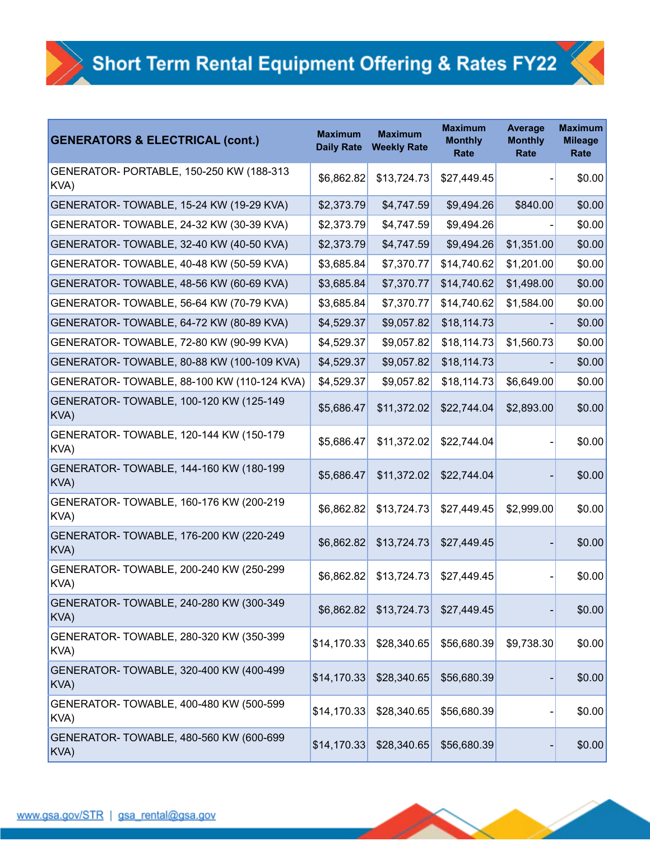| <b>GENERATORS &amp; ELECTRICAL (cont.)</b>       | <b>Maximum</b><br><b>Daily Rate</b> | <b>Maximum</b><br><b>Weekly Rate</b> | <b>Maximum</b><br><b>Monthly</b><br>Rate | <b>Average</b><br><b>Monthly</b><br>Rate | <b>Maximum</b><br><b>Mileage</b><br>Rate |
|--------------------------------------------------|-------------------------------------|--------------------------------------|------------------------------------------|------------------------------------------|------------------------------------------|
| GENERATOR- PORTABLE, 150-250 KW (188-313<br>KVA) | \$6,862.82                          | \$13,724.73                          | \$27,449.45                              |                                          | \$0.00                                   |
| GENERATOR-TOWABLE, 15-24 KW (19-29 KVA)          | \$2,373.79                          | \$4,747.59                           | \$9,494.26                               | \$840.00                                 | \$0.00                                   |
| GENERATOR-TOWABLE, 24-32 KW (30-39 KVA)          | \$2,373.79                          | \$4,747.59                           | \$9,494.26                               |                                          | \$0.00                                   |
| GENERATOR- TOWABLE, 32-40 KW (40-50 KVA)         | \$2,373.79                          | \$4,747.59                           | \$9,494.26                               | \$1,351.00                               | \$0.00                                   |
| GENERATOR-TOWABLE, 40-48 KW (50-59 KVA)          | \$3,685.84                          | \$7,370.77                           | \$14,740.62                              | \$1,201.00                               | \$0.00                                   |
| GENERATOR-TOWABLE, 48-56 KW (60-69 KVA)          | \$3,685.84                          | \$7,370.77                           | \$14,740.62                              | \$1,498.00                               | \$0.00                                   |
| GENERATOR-TOWABLE, 56-64 KW (70-79 KVA)          | \$3,685.84                          | \$7,370.77                           | \$14,740.62                              | \$1,584.00                               | \$0.00                                   |
| GENERATOR- TOWABLE, 64-72 KW (80-89 KVA)         | \$4,529.37                          | \$9,057.82                           | \$18,114.73                              |                                          | \$0.00                                   |
| GENERATOR-TOWABLE, 72-80 KW (90-99 KVA)          | \$4,529.37                          | \$9,057.82                           | \$18,114.73                              | \$1,560.73                               | \$0.00                                   |
| GENERATOR-TOWABLE, 80-88 KW (100-109 KVA)        | \$4,529.37                          | \$9,057.82                           | \$18,114.73                              |                                          | \$0.00                                   |
| GENERATOR- TOWABLE, 88-100 KW (110-124 KVA)      | \$4,529.37                          | \$9,057.82                           | \$18,114.73                              | \$6,649.00                               | \$0.00                                   |
| GENERATOR- TOWABLE, 100-120 KW (125-149<br>KVA)  | \$5,686.47                          | \$11,372.02                          | \$22,744.04                              | \$2,893.00                               | \$0.00                                   |
| GENERATOR- TOWABLE, 120-144 KW (150-179<br>KVA)  | \$5,686.47                          | \$11,372.02                          | \$22,744.04                              |                                          | \$0.00                                   |
| GENERATOR-TOWABLE, 144-160 KW (180-199<br>KVA)   | \$5,686.47                          | \$11,372.02                          | \$22,744.04                              |                                          | \$0.00                                   |
| GENERATOR-TOWABLE, 160-176 KW (200-219<br>KVA)   | \$6,862.82                          | \$13,724.73                          | \$27,449.45                              | \$2,999.00                               | \$0.00                                   |
| GENERATOR- TOWABLE, 176-200 KW (220-249<br>KVA)  | \$6,862.82                          | \$13,724.73                          | \$27,449.45                              |                                          | \$0.00                                   |
| GENERATOR- TOWABLE, 200-240 KW (250-299<br>KVA)  | \$6,862.82                          | \$13,724.73                          | \$27,449.45                              |                                          | \$0.00                                   |
| GENERATOR- TOWABLE, 240-280 KW (300-349<br>KVA)  | \$6,862.82                          | \$13,724.73                          | \$27,449.45                              |                                          | \$0.00                                   |
| GENERATOR- TOWABLE, 280-320 KW (350-399<br>KVA)  | \$14,170.33                         | \$28,340.65                          | \$56,680.39                              | \$9,738.30                               | \$0.00                                   |
| GENERATOR- TOWABLE, 320-400 KW (400-499<br>KVA)  | \$14,170.33                         | \$28,340.65                          | \$56,680.39                              |                                          | \$0.00                                   |
| GENERATOR-TOWABLE, 400-480 KW (500-599<br>KVA)   | \$14,170.33                         | \$28,340.65                          | \$56,680.39                              |                                          | \$0.00                                   |
| GENERATOR- TOWABLE, 480-560 KW (600-699<br>KVA)  | \$14,170.33                         | \$28,340.65                          | \$56,680.39                              |                                          | \$0.00                                   |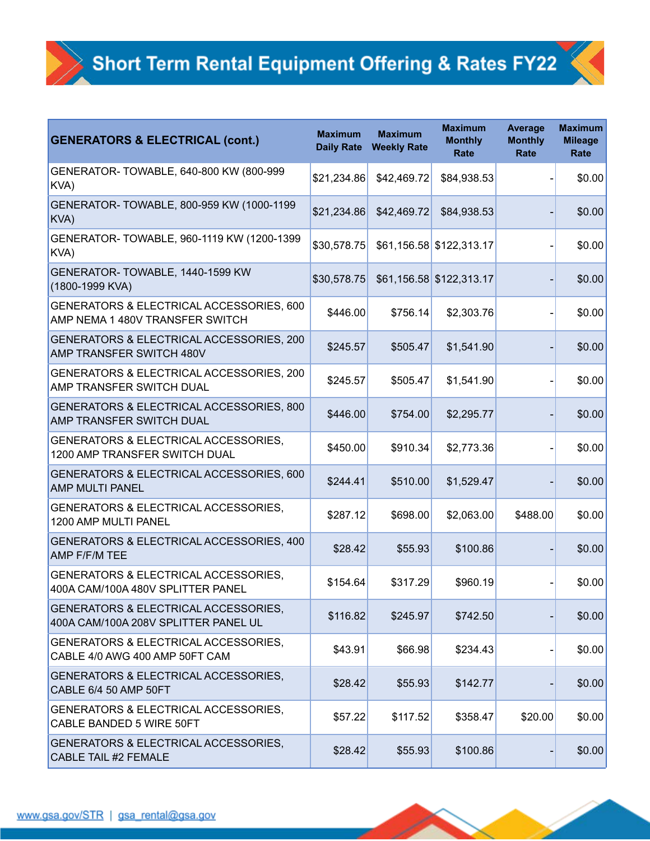| <b>GENERATORS &amp; ELECTRICAL (cont.)</b>                                   | <b>Maximum</b><br><b>Daily Rate</b> | <b>Maximum</b><br><b>Weekly Rate</b> | <b>Maximum</b><br><b>Monthly</b><br>Rate | <b>Average</b><br><b>Monthly</b><br>Rate | <b>Maximum</b><br><b>Mileage</b><br>Rate |
|------------------------------------------------------------------------------|-------------------------------------|--------------------------------------|------------------------------------------|------------------------------------------|------------------------------------------|
| GENERATOR-TOWABLE, 640-800 KW (800-999<br>KVA)                               | \$21,234.86                         | \$42,469.72                          | \$84,938.53                              |                                          | \$0.00                                   |
| GENERATOR- TOWABLE, 800-959 KW (1000-1199<br>KVA)                            | \$21,234.86                         | \$42,469.72                          | \$84,938.53                              |                                          | \$0.00                                   |
| GENERATOR-TOWABLE, 960-1119 KW (1200-1399<br>KVA)                            | \$30,578.75                         |                                      | \$61,156.58 \$122,313.17                 |                                          | \$0.00                                   |
| GENERATOR-TOWABLE, 1440-1599 KW<br>(1800-1999 KVA)                           | \$30,578.75                         |                                      | \$61,156.58 \$122,313.17                 |                                          | \$0.00                                   |
| GENERATORS & ELECTRICAL ACCESSORIES, 600<br>AMP NEMA 1 480V TRANSFER SWITCH  | \$446.00                            | \$756.14                             | \$2,303.76                               |                                          | \$0.00                                   |
| GENERATORS & ELECTRICAL ACCESSORIES, 200<br>AMP TRANSFER SWITCH 480V         | \$245.57                            | \$505.47                             | \$1,541.90                               |                                          | \$0.00                                   |
| GENERATORS & ELECTRICAL ACCESSORIES, 200<br><b>AMP TRANSFER SWITCH DUAL</b>  | \$245.57                            | \$505.47                             | \$1,541.90                               |                                          | \$0.00                                   |
| GENERATORS & ELECTRICAL ACCESSORIES, 800<br>AMP TRANSFER SWITCH DUAL         | \$446.00                            | \$754.00                             | \$2,295.77                               |                                          | \$0.00                                   |
| GENERATORS & ELECTRICAL ACCESSORIES,<br>1200 AMP TRANSFER SWITCH DUAL        | \$450.00                            | \$910.34                             | \$2,773.36                               |                                          | \$0.00                                   |
| GENERATORS & ELECTRICAL ACCESSORIES, 600<br><b>AMP MULTI PANEL</b>           | \$244.41                            | \$510.00                             | \$1,529.47                               |                                          | \$0.00                                   |
| GENERATORS & ELECTRICAL ACCESSORIES,<br>1200 AMP MULTI PANEL                 | \$287.12                            | \$698.00                             | \$2,063.00                               | \$488.00                                 | \$0.00                                   |
| GENERATORS & ELECTRICAL ACCESSORIES, 400<br><b>AMP F/F/M TEE</b>             | \$28.42                             | \$55.93                              | \$100.86                                 |                                          | \$0.00                                   |
| GENERATORS & ELECTRICAL ACCESSORIES,<br>400A CAM/100A 480V SPLITTER PANEL    | \$154.64                            | \$317.29                             | \$960.19                                 |                                          | \$0.00                                   |
| GENERATORS & ELECTRICAL ACCESSORIES,<br>400A CAM/100A 208V SPLITTER PANEL UL | \$116.82                            | \$245.97                             | \$742.50                                 |                                          | \$0.00                                   |
| GENERATORS & ELECTRICAL ACCESSORIES,<br>CABLE 4/0 AWG 400 AMP 50FT CAM       | \$43.91                             | \$66.98                              | \$234.43                                 |                                          | \$0.00                                   |
| GENERATORS & ELECTRICAL ACCESSORIES,<br><b>CABLE 6/4 50 AMP 50FT</b>         | \$28.42                             | \$55.93                              | \$142.77                                 |                                          | \$0.00                                   |
| GENERATORS & ELECTRICAL ACCESSORIES,<br>CABLE BANDED 5 WIRE 50FT             | \$57.22                             | \$117.52                             | \$358.47                                 | \$20.00                                  | \$0.00                                   |
| GENERATORS & ELECTRICAL ACCESSORIES,<br><b>CABLE TAIL #2 FEMALE</b>          | \$28.42                             | \$55.93                              | \$100.86                                 |                                          | \$0.00                                   |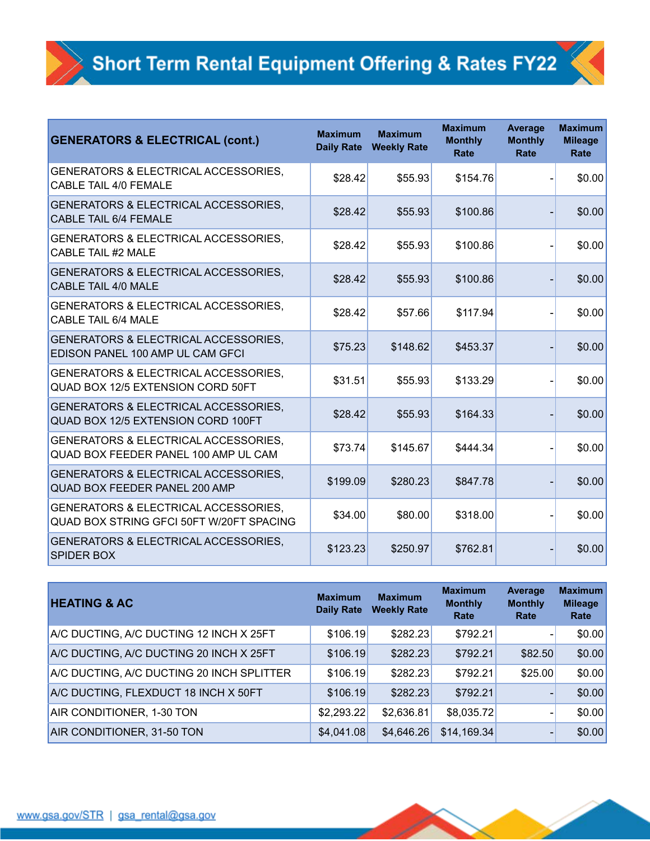| <b>GENERATORS &amp; ELECTRICAL (cont.)</b>                                                  | <b>Maximum</b><br><b>Daily Rate</b> | <b>Maximum</b><br><b>Weekly Rate</b> | <b>Maximum</b><br><b>Monthly</b><br><b>Rate</b> | <b>Average</b><br><b>Monthly</b><br>Rate | <b>Maximum</b><br><b>Mileage</b><br>Rate |
|---------------------------------------------------------------------------------------------|-------------------------------------|--------------------------------------|-------------------------------------------------|------------------------------------------|------------------------------------------|
| GENERATORS & ELECTRICAL ACCESSORIES,<br><b>CABLE TAIL 4/0 FEMALE</b>                        | \$28.42                             | \$55.93                              | \$154.76                                        |                                          | \$0.00                                   |
| GENERATORS & ELECTRICAL ACCESSORIES,<br><b>CABLE TAIL 6/4 FEMALE</b>                        | \$28.42                             | \$55.93                              | \$100.86                                        |                                          | \$0.00                                   |
| <b>GENERATORS &amp; ELECTRICAL ACCESSORIES,</b><br><b>CABLE TAIL #2 MALE</b>                | \$28.42                             | \$55.93                              | \$100.86                                        |                                          | \$0.00                                   |
| GENERATORS & ELECTRICAL ACCESSORIES,<br><b>CABLE TAIL 4/0 MALE</b>                          | \$28.42                             | \$55.93                              | \$100.86                                        |                                          | \$0.00                                   |
| GENERATORS & ELECTRICAL ACCESSORIES,<br><b>CABLE TAIL 6/4 MALE</b>                          | \$28.42                             | \$57.66                              | \$117.94                                        |                                          | \$0.00                                   |
| GENERATORS & ELECTRICAL ACCESSORIES,<br>EDISON PANEL 100 AMP UL CAM GFCI                    | \$75.23                             | \$148.62                             | \$453.37                                        |                                          | \$0.00                                   |
| GENERATORS & ELECTRICAL ACCESSORIES,<br><b>QUAD BOX 12/5 EXTENSION CORD 50FT</b>            | \$31.51                             | \$55.93                              | \$133.29                                        |                                          | \$0.00                                   |
| <b>GENERATORS &amp; ELECTRICAL ACCESSORIES,</b><br>QUAD BOX 12/5 EXTENSION CORD 100FT       | \$28.42                             | \$55.93                              | \$164.33                                        |                                          | \$0.00                                   |
| GENERATORS & ELECTRICAL ACCESSORIES,<br>QUAD BOX FEEDER PANEL 100 AMP UL CAM                | \$73.74                             | \$145.67                             | \$444.34                                        |                                          | \$0.00                                   |
| <b>GENERATORS &amp; ELECTRICAL ACCESSORIES,</b><br>QUAD BOX FEEDER PANEL 200 AMP            | \$199.09                            | \$280.23                             | \$847.78                                        |                                          | \$0.00                                   |
| <b>GENERATORS &amp; ELECTRICAL ACCESSORIES,</b><br>QUAD BOX STRING GFCI 50FT W/20FT SPACING | \$34.00                             | \$80.00                              | \$318.00                                        |                                          | \$0.00                                   |
| <b>GENERATORS &amp; ELECTRICAL ACCESSORIES,</b><br><b>SPIDER BOX</b>                        | \$123.23                            | \$250.97                             | \$762.81                                        |                                          | \$0.00                                   |

| <b>HEATING &amp; AC</b>                   | <b>Maximum</b><br><b>Daily Rate</b> | <b>Maximum</b><br><b>Weekly Rate</b> | <b>Maximum</b><br><b>Monthly</b><br>Rate | Average<br><b>Monthly</b><br>Rate | <b>Maximum</b><br><b>Mileage</b><br>Rate |
|-------------------------------------------|-------------------------------------|--------------------------------------|------------------------------------------|-----------------------------------|------------------------------------------|
| A/C DUCTING, A/C DUCTING 12 INCH X 25FT   | \$106.19                            | \$282.23                             | \$792.21                                 |                                   | \$0.00                                   |
| A/C DUCTING, A/C DUCTING 20 INCH X 25FT   | \$106.19                            | \$282.23                             | \$792.21                                 | \$82.50                           | \$0.00                                   |
| A/C DUCTING, A/C DUCTING 20 INCH SPLITTER | \$106.19                            | \$282.23                             | \$792.21                                 | \$25.00                           | \$0.00                                   |
| A/C DUCTING, FLEXDUCT 18 INCH X 50FT      | \$106.19                            | \$282.23                             | \$792.21                                 |                                   | \$0.00                                   |
| AIR CONDITIONER, 1-30 TON                 | \$2,293.22                          | \$2,636.81                           | \$8,035.72                               |                                   | \$0.00                                   |
| AIR CONDITIONER, 31-50 TON                | \$4,041.08                          | \$4,646.26                           | \$14,169.34                              | $\overline{\phantom{0}}$          | \$0.00                                   |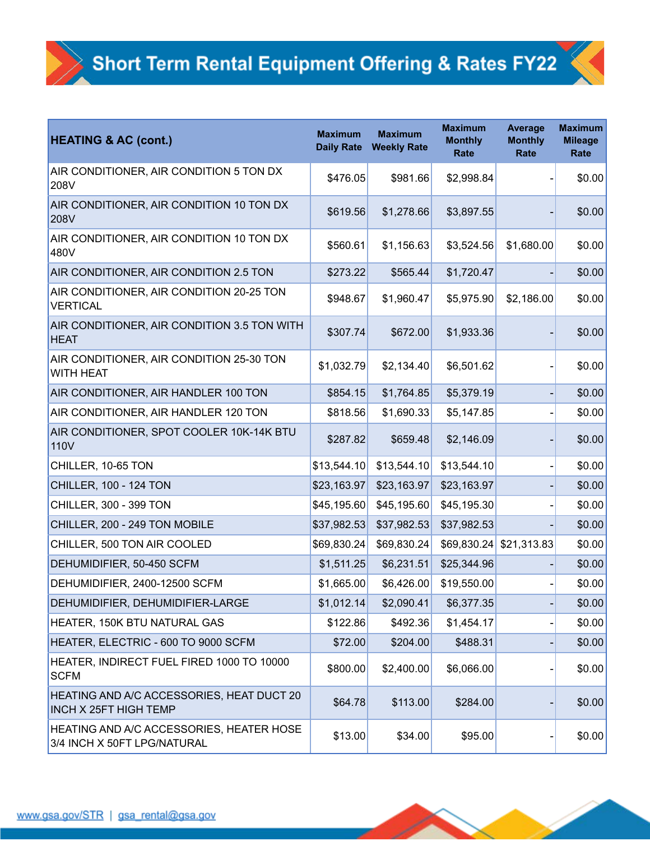| <b>HEATING &amp; AC (cont.)</b>                                                  | <b>Maximum</b><br><b>Daily Rate</b> | <b>Maximum</b><br><b>Weekly Rate</b> | <b>Maximum</b><br><b>Monthly</b><br>Rate | <b>Average</b><br><b>Monthly</b><br>Rate | <b>Maximum</b><br><b>Mileage</b><br>Rate |
|----------------------------------------------------------------------------------|-------------------------------------|--------------------------------------|------------------------------------------|------------------------------------------|------------------------------------------|
| AIR CONDITIONER, AIR CONDITION 5 TON DX<br>208V                                  | \$476.05                            | \$981.66                             | \$2,998.84                               |                                          | \$0.00                                   |
| AIR CONDITIONER, AIR CONDITION 10 TON DX<br>208V                                 | \$619.56                            | \$1,278.66                           | \$3,897.55                               |                                          | \$0.00                                   |
| AIR CONDITIONER, AIR CONDITION 10 TON DX<br>480V                                 | \$560.61                            | \$1,156.63                           | \$3,524.56                               | \$1,680.00                               | \$0.00                                   |
| AIR CONDITIONER, AIR CONDITION 2.5 TON                                           | \$273.22                            | \$565.44                             | \$1,720.47                               |                                          | \$0.00                                   |
| AIR CONDITIONER, AIR CONDITION 20-25 TON<br><b>VERTICAL</b>                      | \$948.67                            | \$1,960.47                           | \$5,975.90                               | \$2,186.00                               | \$0.00                                   |
| AIR CONDITIONER, AIR CONDITION 3.5 TON WITH<br><b>HEAT</b>                       | \$307.74                            | \$672.00                             | \$1,933.36                               |                                          | \$0.00                                   |
| AIR CONDITIONER, AIR CONDITION 25-30 TON<br><b>WITH HEAT</b>                     | \$1,032.79                          | \$2,134.40                           | \$6,501.62                               |                                          | \$0.00                                   |
| AIR CONDITIONER, AIR HANDLER 100 TON                                             | \$854.15                            | \$1,764.85                           | \$5,379.19                               |                                          | \$0.00                                   |
| AIR CONDITIONER, AIR HANDLER 120 TON                                             | \$818.56                            | \$1,690.33                           | \$5,147.85                               |                                          | \$0.00                                   |
| AIR CONDITIONER, SPOT COOLER 10K-14K BTU<br>110V                                 | \$287.82                            | \$659.48                             | \$2,146.09                               |                                          | \$0.00                                   |
| CHILLER, 10-65 TON                                                               | \$13,544.10                         | \$13,544.10                          | \$13,544.10                              |                                          | \$0.00                                   |
| CHILLER, 100 - 124 TON                                                           | \$23,163.97                         | \$23,163.97                          | \$23,163.97                              |                                          | \$0.00                                   |
| CHILLER, 300 - 399 TON                                                           | \$45,195.60                         | \$45,195.60                          | \$45,195.30                              |                                          | \$0.00                                   |
| CHILLER, 200 - 249 TON MOBILE                                                    | \$37,982.53                         | \$37,982.53                          | \$37,982.53                              |                                          | \$0.00                                   |
| CHILLER, 500 TON AIR COOLED                                                      | \$69,830.24                         | \$69,830.24                          | \$69,830.24                              | \$21,313.83                              | \$0.00                                   |
| DEHUMIDIFIER, 50-450 SCFM                                                        | \$1,511.25                          | \$6,231.51                           | \$25,344.96                              |                                          | \$0.00                                   |
| DEHUMIDIFIER, 2400-12500 SCFM                                                    | \$1,665.00                          | \$6,426.00                           | \$19,550.00                              |                                          | \$0.00                                   |
| DEHUMIDIFIER, DEHUMIDIFIER-LARGE                                                 | \$1,012.14                          | \$2,090.41                           | \$6,377.35                               |                                          | \$0.00                                   |
| <b>HEATER, 150K BTU NATURAL GAS</b>                                              | \$122.86                            | \$492.36                             | \$1,454.17                               |                                          | \$0.00                                   |
| HEATER, ELECTRIC - 600 TO 9000 SCFM                                              | \$72.00                             | \$204.00                             | \$488.31                                 |                                          | \$0.00                                   |
| HEATER, INDIRECT FUEL FIRED 1000 TO 10000<br><b>SCFM</b>                         | \$800.00                            | \$2,400.00                           | \$6,066.00                               |                                          | \$0.00                                   |
| <b>HEATING AND A/C ACCESSORIES, HEAT DUCT 20</b><br><b>INCH X 25FT HIGH TEMP</b> | \$64.78                             | \$113.00                             | \$284.00                                 |                                          | \$0.00                                   |
| HEATING AND A/C ACCESSORIES, HEATER HOSE<br>3/4 INCH X 50FT LPG/NATURAL          | \$13.00                             | \$34.00                              | \$95.00                                  |                                          | \$0.00                                   |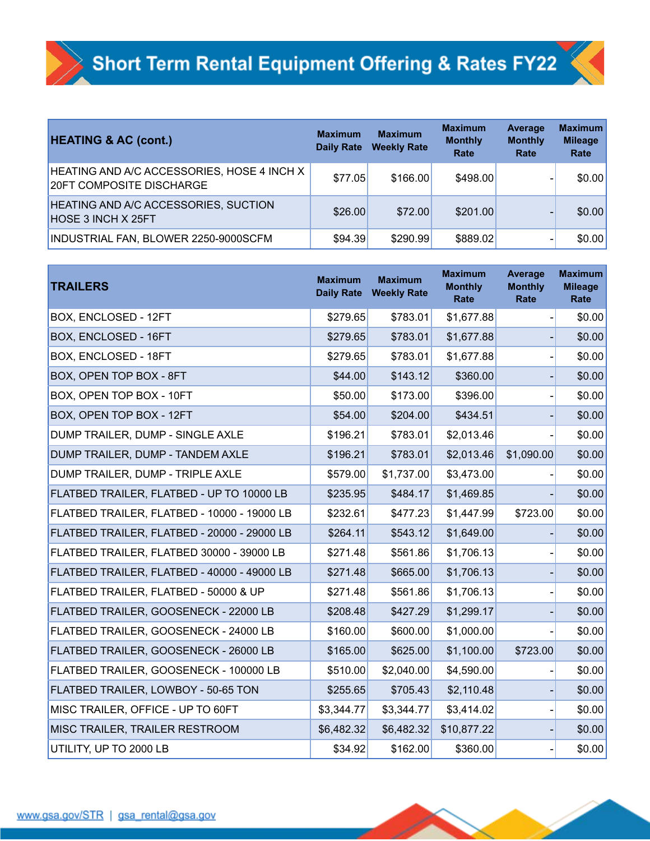| <b>HEATING &amp; AC (cont.)</b>                                                      | <b>Maximum</b><br><b>Daily Rate</b> | <b>Maximum</b><br><b>Weekly Rate</b> | <b>Maximum</b><br><b>Monthly</b><br>Rate | Average<br><b>Monthly</b><br>Rate | <b>Maximum</b><br><b>Mileage</b><br>Rate |
|--------------------------------------------------------------------------------------|-------------------------------------|--------------------------------------|------------------------------------------|-----------------------------------|------------------------------------------|
| <b>HEATING AND A/C ACCESSORIES, HOSE 4 INCH X</b><br><b>20FT COMPOSITE DISCHARGE</b> | \$77.05                             | \$166.00                             | \$498.00                                 |                                   | \$0.00                                   |
| HEATING AND A/C ACCESSORIES, SUCTION<br><b>HOSE 3 INCH X 25FT</b>                    | \$26.00                             | \$72.00                              | \$201.00                                 |                                   | \$0.00                                   |
| INDUSTRIAL FAN, BLOWER 2250-9000SCFM                                                 | \$94.39                             | \$290.99                             | \$889.02                                 |                                   | \$0.00                                   |

| <b>TRAILERS</b>                             | <b>Maximum</b><br><b>Daily Rate</b> | <b>Maximum</b><br><b>Weekly Rate</b> | <b>Maximum</b><br><b>Monthly</b><br>Rate | Average<br><b>Monthly</b><br>Rate | <b>Maximum</b><br><b>Mileage</b><br>Rate |
|---------------------------------------------|-------------------------------------|--------------------------------------|------------------------------------------|-----------------------------------|------------------------------------------|
| BOX, ENCLOSED - 12FT                        | \$279.65                            | \$783.01                             | \$1,677.88                               |                                   | \$0.00                                   |
| BOX, ENCLOSED - 16FT                        | \$279.65                            | \$783.01                             | \$1,677.88                               |                                   | \$0.00                                   |
| BOX, ENCLOSED - 18FT                        | \$279.65                            | \$783.01                             | \$1,677.88                               |                                   | \$0.00                                   |
| BOX, OPEN TOP BOX - 8FT                     | \$44.00                             | \$143.12                             | \$360.00                                 |                                   | \$0.00                                   |
| BOX, OPEN TOP BOX - 10FT                    | \$50.00                             | \$173.00                             | \$396.00                                 |                                   | \$0.00                                   |
| BOX, OPEN TOP BOX - 12FT                    | \$54.00                             | \$204.00                             | \$434.51                                 |                                   | \$0.00                                   |
| DUMP TRAILER, DUMP - SINGLE AXLE            | \$196.21                            | \$783.01                             | \$2,013.46                               |                                   | \$0.00                                   |
| DUMP TRAILER, DUMP - TANDEM AXLE            | \$196.21                            | \$783.01                             | \$2,013.46                               | \$1,090.00                        | \$0.00                                   |
| DUMP TRAILER, DUMP - TRIPLE AXLE            | \$579.00                            | \$1,737.00                           | \$3,473.00                               |                                   | \$0.00                                   |
| FLATBED TRAILER, FLATBED - UP TO 10000 LB   | \$235.95                            | \$484.17                             | \$1,469.85                               |                                   | \$0.00                                   |
| FLATBED TRAILER, FLATBED - 10000 - 19000 LB | \$232.61                            | \$477.23                             | \$1,447.99                               | \$723.00                          | \$0.00                                   |
| FLATBED TRAILER, FLATBED - 20000 - 29000 LB | \$264.11                            | \$543.12                             | \$1,649.00                               |                                   | \$0.00                                   |
| FLATBED TRAILER, FLATBED 30000 - 39000 LB   | \$271.48                            | \$561.86                             | \$1,706.13                               |                                   | \$0.00                                   |
| FLATBED TRAILER, FLATBED - 40000 - 49000 LB | \$271.48                            | \$665.00                             | \$1,706.13                               |                                   | \$0.00                                   |
| FLATBED TRAILER, FLATBED - 50000 & UP       | \$271.48                            | \$561.86                             | \$1,706.13                               |                                   | \$0.00                                   |
| FLATBED TRAILER, GOOSENECK - 22000 LB       | \$208.48                            | \$427.29                             | \$1,299.17                               |                                   | \$0.00                                   |
| FLATBED TRAILER, GOOSENECK - 24000 LB       | \$160.00                            | \$600.00                             | \$1,000.00                               |                                   | \$0.00                                   |
| FLATBED TRAILER, GOOSENECK - 26000 LB       | \$165.00                            | \$625.00                             | \$1,100.00                               | \$723.00                          | \$0.00                                   |
| FLATBED TRAILER, GOOSENECK - 100000 LB      | \$510.00                            | \$2,040.00                           | \$4,590.00                               |                                   | \$0.00                                   |
| FLATBED TRAILER, LOWBOY - 50-65 TON         | \$255.65                            | \$705.43                             | \$2,110.48                               |                                   | \$0.00                                   |
| MISC TRAILER, OFFICE - UP TO 60FT           | \$3,344.77                          | \$3,344.77                           | \$3,414.02                               |                                   | \$0.00                                   |
| MISC TRAILER, TRAILER RESTROOM              | \$6,482.32                          | \$6,482.32                           | \$10,877.22                              |                                   | \$0.00                                   |
| UTILITY, UP TO 2000 LB                      | \$34.92                             | \$162.00                             | \$360.00                                 |                                   | \$0.00                                   |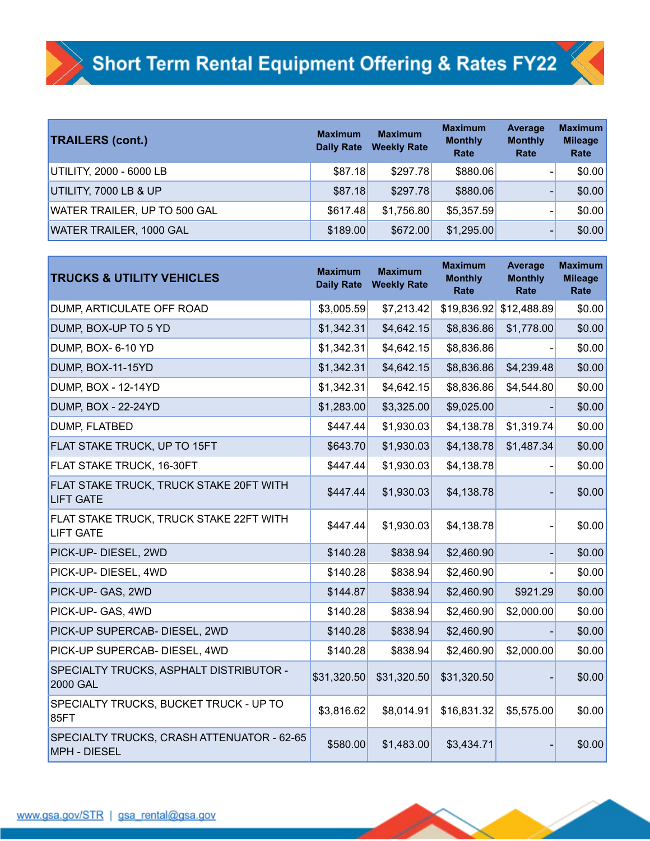| <b>TRAILERS (cont.)</b>             | <b>Maximum</b><br><b>Daily Rate</b> | <b>Maximum</b><br><b>Weekly Rate</b> | <b>Maximum</b><br><b>Monthly</b><br>Rate | Average<br><b>Monthly</b><br>Rate | <b>Maximum</b><br><b>Mileage</b><br>Rate |
|-------------------------------------|-------------------------------------|--------------------------------------|------------------------------------------|-----------------------------------|------------------------------------------|
| UTILITY, 2000 - 6000 LB             | \$87.18                             | \$297.78                             | \$880.06                                 |                                   | \$0.00                                   |
| UTILITY, 7000 LB & UP               | \$87.18                             | \$297.78                             | \$880.06                                 |                                   | \$0.00                                   |
| <b>WATER TRAILER, UP TO 500 GAL</b> | \$617.48                            | \$1,756.80                           | \$5,357.59                               | $\overline{\phantom{0}}$          | \$0.00                                   |
| WATER TRAILER, 1000 GAL             | \$189.00                            | \$672.00                             | \$1,295.00                               |                                   | \$0.00                                   |

| <b>TRUCKS &amp; UTILITY VEHICLES</b>                              | <b>Maximum</b><br><b>Daily Rate</b> | <b>Maximum</b><br><b>Weekly Rate</b> | <b>Maximum</b><br><b>Monthly</b><br>Rate | <b>Average</b><br><b>Monthly</b><br>Rate | <b>Maximum</b><br><b>Mileage</b><br>Rate |
|-------------------------------------------------------------------|-------------------------------------|--------------------------------------|------------------------------------------|------------------------------------------|------------------------------------------|
| DUMP, ARTICULATE OFF ROAD                                         | \$3,005.59                          | \$7,213.42                           | \$19,836.92                              | \$12,488.89                              | \$0.00                                   |
| DUMP, BOX-UP TO 5 YD                                              | \$1,342.31                          | \$4,642.15                           | \$8,836.86                               | \$1,778.00                               | \$0.00                                   |
| DUMP, BOX- 6-10 YD                                                | \$1,342.31                          | \$4,642.15                           | \$8,836.86                               |                                          | \$0.00                                   |
| DUMP, BOX-11-15YD                                                 | \$1,342.31                          | \$4,642.15                           | \$8,836.86                               | \$4,239.48                               | \$0.00                                   |
| <b>DUMP, BOX - 12-14YD</b>                                        | \$1,342.31                          | \$4,642.15                           | \$8,836.86                               | \$4,544.80                               | \$0.00                                   |
| <b>DUMP, BOX - 22-24YD</b>                                        | \$1,283.00                          | \$3,325.00                           | \$9,025.00                               |                                          | \$0.00                                   |
| DUMP, FLATBED                                                     | \$447.44                            | \$1,930.03                           | \$4,138.78                               | \$1,319.74                               | \$0.00                                   |
| FLAT STAKE TRUCK, UP TO 15FT                                      | \$643.70                            | \$1,930.03                           | \$4,138.78                               | \$1,487.34                               | \$0.00                                   |
| FLAT STAKE TRUCK, 16-30FT                                         | \$447.44                            | \$1,930.03                           | \$4,138.78                               |                                          | \$0.00                                   |
| FLAT STAKE TRUCK, TRUCK STAKE 20FT WITH<br><b>LIFT GATE</b>       | \$447.44                            | \$1,930.03                           | \$4,138.78                               |                                          | \$0.00                                   |
| FLAT STAKE TRUCK, TRUCK STAKE 22FT WITH<br><b>LIFT GATE</b>       | \$447.44                            | \$1,930.03                           | \$4,138.78                               |                                          | \$0.00                                   |
| PICK-UP- DIESEL, 2WD                                              | \$140.28                            | \$838.94                             | \$2,460.90                               |                                          | \$0.00                                   |
| PICK-UP- DIESEL, 4WD                                              | \$140.28                            | \$838.94                             | \$2,460.90                               |                                          | \$0.00                                   |
| PICK-UP- GAS, 2WD                                                 | \$144.87                            | \$838.94                             | \$2,460.90                               | \$921.29                                 | \$0.00                                   |
| PICK-UP- GAS, 4WD                                                 | \$140.28                            | \$838.94                             | \$2,460.90                               | \$2,000.00                               | \$0.00                                   |
| PICK-UP SUPERCAB- DIESEL, 2WD                                     | \$140.28                            | \$838.94                             | \$2,460.90                               |                                          | \$0.00                                   |
| PICK-UP SUPERCAB- DIESEL, 4WD                                     | \$140.28                            | \$838.94                             | \$2,460.90                               | \$2,000.00                               | \$0.00                                   |
| SPECIALTY TRUCKS, ASPHALT DISTRIBUTOR -<br><b>2000 GAL</b>        | \$31,320.50                         | \$31,320.50                          | \$31,320.50                              |                                          | \$0.00                                   |
| SPECIALTY TRUCKS, BUCKET TRUCK - UP TO<br>85FT                    | \$3,816.62                          | \$8,014.91                           | \$16,831.32                              | \$5,575.00                               | \$0.00                                   |
| SPECIALTY TRUCKS, CRASH ATTENUATOR - 62-65<br><b>MPH - DIESEL</b> | \$580.00                            | \$1,483.00                           | \$3,434.71                               |                                          | \$0.00                                   |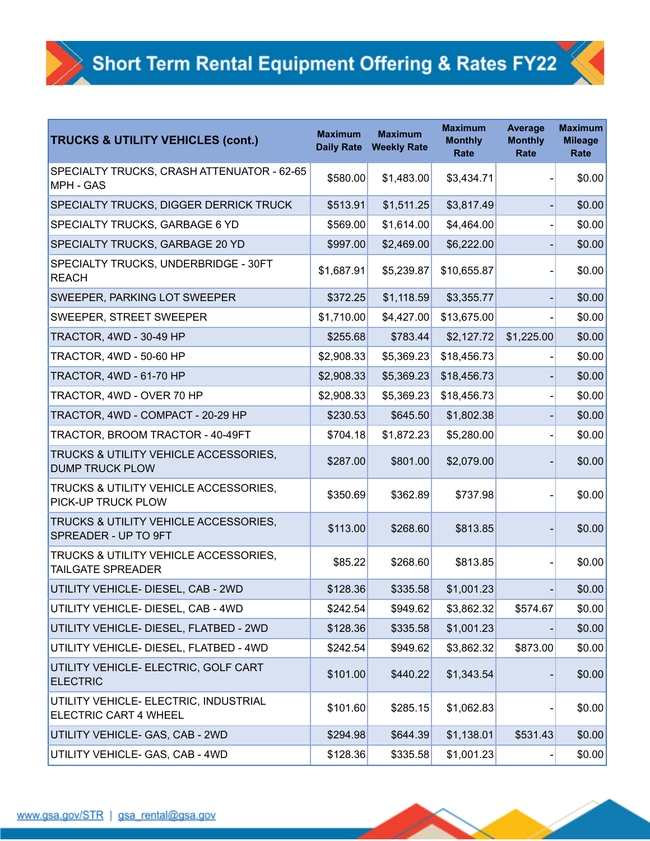| <b>TRUCKS &amp; UTILITY VEHICLES (cont.)</b>                          | <b>Maximum</b><br><b>Daily Rate</b> | <b>Maximum</b><br><b>Weekly Rate</b> | <b>Maximum</b><br><b>Monthly</b><br>Rate | <b>Average</b><br><b>Monthly</b><br>Rate | <b>Maximum</b><br><b>Mileage</b><br>Rate |
|-----------------------------------------------------------------------|-------------------------------------|--------------------------------------|------------------------------------------|------------------------------------------|------------------------------------------|
| SPECIALTY TRUCKS, CRASH ATTENUATOR - 62-65<br><b>MPH - GAS</b>        | \$580.00                            | \$1,483.00                           | \$3,434.71                               |                                          | \$0.00                                   |
| <b>SPECIALTY TRUCKS, DIGGER DERRICK TRUCK</b>                         | \$513.91                            | \$1,511.25                           | \$3,817.49                               |                                          | \$0.00                                   |
| SPECIALTY TRUCKS, GARBAGE 6 YD                                        | \$569.00                            | \$1,614.00                           | \$4,464.00                               |                                          | \$0.00                                   |
| SPECIALTY TRUCKS, GARBAGE 20 YD                                       | \$997.00                            | \$2,469.00                           | \$6,222.00                               |                                          | \$0.00                                   |
| SPECIALTY TRUCKS, UNDERBRIDGE - 30FT<br><b>REACH</b>                  | \$1,687.91                          | \$5,239.87                           | \$10,655.87                              |                                          | \$0.00                                   |
| <b>SWEEPER, PARKING LOT SWEEPER</b>                                   | \$372.25                            | \$1,118.59                           | \$3,355.77                               |                                          | \$0.00                                   |
| <b>SWEEPER, STREET SWEEPER</b>                                        | \$1,710.00                          | \$4,427.00                           | \$13,675.00                              |                                          | \$0.00                                   |
| TRACTOR, 4WD - 30-49 HP                                               | \$255.68                            | \$783.44                             | \$2,127.72                               | \$1,225.00                               | \$0.00                                   |
| TRACTOR, 4WD - 50-60 HP                                               | \$2,908.33                          | \$5,369.23                           | \$18,456.73                              |                                          | \$0.00                                   |
| TRACTOR, 4WD - 61-70 HP                                               | \$2,908.33                          | \$5,369.23                           | \$18,456.73                              |                                          | \$0.00                                   |
| TRACTOR, 4WD - OVER 70 HP                                             | \$2,908.33                          | \$5,369.23                           | \$18,456.73                              |                                          | \$0.00                                   |
| TRACTOR, 4WD - COMPACT - 20-29 HP                                     | \$230.53                            | \$645.50                             | \$1,802.38                               |                                          | \$0.00                                   |
| TRACTOR, BROOM TRACTOR - 40-49FT                                      | \$704.18                            | \$1,872.23                           | \$5,280.00                               |                                          | \$0.00                                   |
| TRUCKS & UTILITY VEHICLE ACCESSORIES,<br><b>DUMP TRUCK PLOW</b>       | \$287.00                            | \$801.00                             | \$2,079.00                               |                                          | \$0.00                                   |
| TRUCKS & UTILITY VEHICLE ACCESSORIES,<br><b>PICK-UP TRUCK PLOW</b>    | \$350.69                            | \$362.89                             | \$737.98                                 |                                          | \$0.00                                   |
| TRUCKS & UTILITY VEHICLE ACCESSORIES,<br>SPREADER - UP TO 9FT         | \$113.00                            | \$268.60                             | \$813.85                                 |                                          | \$0.00                                   |
| TRUCKS & UTILITY VEHICLE ACCESSORIES,<br><b>TAILGATE SPREADER</b>     | \$85.22                             | \$268.60                             | \$813.85                                 |                                          | \$0.00                                   |
| UTILITY VEHICLE- DIESEL, CAB - 2WD                                    | \$128.36                            | \$335.58                             | \$1,001.23                               |                                          | \$0.00                                   |
| UTILITY VEHICLE- DIESEL, CAB - 4WD                                    | \$242.54                            | \$949.62                             | \$3,862.32                               | \$574.67                                 | \$0.00                                   |
| UTILITY VEHICLE- DIESEL, FLATBED - 2WD                                | \$128.36                            | \$335.58                             | \$1,001.23                               |                                          | \$0.00                                   |
| UTILITY VEHICLE- DIESEL, FLATBED - 4WD                                | \$242.54                            | \$949.62                             | \$3,862.32                               | \$873.00                                 | \$0.00                                   |
| UTILITY VEHICLE- ELECTRIC, GOLF CART<br><b>ELECTRIC</b>               | \$101.00                            | \$440.22                             | \$1,343.54                               |                                          | \$0.00                                   |
| UTILITY VEHICLE- ELECTRIC, INDUSTRIAL<br><b>ELECTRIC CART 4 WHEEL</b> | \$101.60                            | \$285.15                             | \$1,062.83                               |                                          | \$0.00                                   |
| UTILITY VEHICLE- GAS, CAB - 2WD                                       | \$294.98                            | \$644.39                             | \$1,138.01                               | \$531.43                                 | \$0.00                                   |
| UTILITY VEHICLE- GAS, CAB - 4WD                                       | \$128.36                            | \$335.58                             | \$1,001.23                               |                                          | \$0.00                                   |